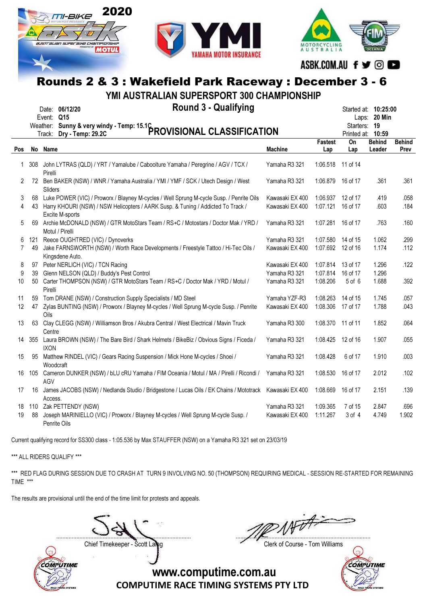



MOTORCYCLING

ASBK.COM.AU f y © O

Started at: **10:25:00** 

# Rounds 2 & 3 : Wakefield Park Raceway : December 3 - 6

YMI AUSTRALIAN SUPERSPORT 300 CHAMPIONSHIP

|            | <b>Round 3 - Qualifying</b><br>Date: 06/12/20                         | Started at: <b>10:25:</b>    |              |
|------------|-----------------------------------------------------------------------|------------------------------|--------------|
| Event: Q15 |                                                                       |                              | Laps: 20 Min |
|            | Weather: Sunny & very windy - Temp: 15.1C<br>Freely, Day, Temps 29.2C | Starters: 19                 |              |
|            |                                                                       | $D_{\text{model}} = 1.40.50$ |              |

|                |        |                                                                                                       |                 |                   | Starters: 19 |               |               |
|----------------|--------|-------------------------------------------------------------------------------------------------------|-----------------|-------------------|--------------|---------------|---------------|
|                |        | Weather: Sunny & very windy - Temp: 15.16 PROVISIONAL CLASSIFICATION                                  |                 |                   | Printed at:  | 10:59         |               |
|                |        |                                                                                                       |                 | <b>Fastest</b>    | On           | <b>Behind</b> | <b>Behind</b> |
| Pos            |        | No Name                                                                                               | <b>Machine</b>  | Lap               | Lap          | Leader        | Prev          |
|                | 1 308  | John LYTRAS (QLD) / YRT / Yamalube / Caboolture Yamaha / Peregrine / AGV / TCX /                      | Yamaha R3 321   | 1:06.518 11 of 14 |              |               |               |
|                |        | Pirelli                                                                                               |                 |                   |              |               |               |
| 2              |        | 72 Ben BAKER (NSW) / WNR / Yamaha Australia / YMI / YMF / SCK / Utech Design / West<br>Sliders        | Yamaha R3 321   | 1:06.879 16 of 17 |              | .361          | .361          |
| 3              | 68     | Luke POWER (VIC) / Proworx / Blayney M-cycles / Well Sprung M-cycle Susp. / Penrite Oils              | Kawasaki EX 400 | 1:06.937          | 12 of 17     | .419          | .058          |
| 4              | 43     | Harry KHOURI (NSW) / NSW Helicopters / AARK Susp. & Tuning / Addicted To Track /<br>Excite M-sports   | Kawasaki EX 400 | 1:07.121          | 16 of 17     | .603          | .184          |
| 5              | 69     | Archie McDONALD (NSW) / GTR MotoStars Team / RS+C / Motostars / Doctor Mak / YRD /<br>Motul / Pirelli | Yamaha R3 321   | 1:07.281          | 16 of 17     | .763          | .160          |
| 6              | 121    | Reece OUGHTRED (VIC) / Dynoverks                                                                      | Yamaha R3 321   | 1:07.580          | 14 of 15     | 1.062         | .299          |
| $\overline{7}$ | 49     | Jake FARNSWORTH (NSW) / Worth Race Developments / Freestyle Tattoo / Hi-Tec Oils /                    | Kawasaki EX 400 | 1:07.692          | 12 of 16     | 1.174         | .112          |
|                |        | Kingsdene Auto.                                                                                       |                 |                   |              |               |               |
| 8              | 97     | Peter NERLICH (VIC) / TCN Racing                                                                      | Kawasaki EX 400 | 1:07.814          | 13 of 17     | 1.296         | .122          |
| 9              | 39     | Glenn NELSON (QLD) / Buddy's Pest Control                                                             | Yamaha R3 321   | 1:07.814          | 16 of 17     | 1.296         |               |
| 10             | 50     | Carter THOMPSON (NSW) / GTR MotoStars Team / RS+C / Doctor Mak / YRD / Motul /                        | Yamaha R3 321   | 1:08.206          | 5 of 6       | 1.688         | .392          |
|                |        | Pirelli                                                                                               |                 |                   |              |               |               |
| 11             | 59     | Tom DRANE (NSW) / Construction Supply Specialists / MD Steel                                          | Yamaha YZF-R3   | 1:08.263          | 14 of 15     | 1.745         | .057          |
| 12             | 47     | Zylas BUNTING (NSW) / Proworx / Blayney M-cycles / Well Sprung M-cycle Susp. / Penrite                | Kawasaki EX 400 | 1:08.306          | 17 of 17     | 1.788         | .043          |
|                |        | Oils                                                                                                  |                 |                   |              |               |               |
| 13             | 63     | Clay CLEGG (NSW) / Williamson Bros / Akubra Central / West Electrical / Mavin Truck                   | Yamaha R3 300   | 1:08.370 11 of 11 |              | 1.852         | .064          |
|                |        | Centre                                                                                                |                 |                   |              |               |               |
|                | 14 355 | Laura BROWN (NSW) / The Bare Bird / Shark Helmets / BikeBiz / Obvious Signs / Ficeda /                | Yamaha R3 321   | 1:08.425          | 12 of 16     | 1.907         | .055          |
|                |        | <b>IXON</b>                                                                                           |                 |                   |              |               |               |
| 15             | 95     | Matthew RINDEL (VIC) / Gears Racing Suspension / Mick Hone M-cycles / Shoei /                         | Yamaha R3 321   | 1:08.428          | 6 of 17      | 1.910         | .003          |
|                |        | Woodcraft                                                                                             |                 |                   |              |               |               |
| 16             | 105    | Cameron DUNKER (NSW) / bLU cRU Yamaha / FIM Oceania / Motul / MA / Pirelli / Ricondi /                | Yamaha R3 321   | 1:08.530          | 16 of 17     | 2.012         | .102          |
|                |        | AGV                                                                                                   |                 |                   |              |               |               |
| 17             | 16     | James JACOBS (NSW) / Nedlands Studio / Bridgestone / Lucas Oils / EK Chains / Mototrack               | Kawasaki EX 400 | 1:08.669          | 16 of 17     | 2.151         | .139          |
|                |        | Access.                                                                                               |                 |                   |              |               |               |
| 18             |        | 110 Zak PETTENDY (NSW)                                                                                | Yamaha R3 321   | 1:09.365          | 7 of 15      | 2.847         | .696          |
| 19             | 88     | Joseph MARINIELLO (VIC) / Proworx / Blayney M-cycles / Well Sprung M-cycle Susp. /                    | Kawasaki EX 400 | 1:11.267          | 3 of 4       | 4.749         | 1.902         |
|                |        | Penrite Oils                                                                                          |                 |                   |              |               |               |

Current qualifying record for SS300 class - 1:05.536 by Max STAUFFER (NSW) on a Yamaha R3 321 set on 23/03/19

\*\*\* ALL RIDERS QUALIFY \*\*\*

\*\*\* RED FLAG DURING SESSION DUE TO CRASH AT TURN 9 INVOLVING NO. 50 (THOMPSON) REQUIRING MEDICAL - SESSION RE-STARTED FOR REMAINING TIME \*\*\*

The results are provisional until the end of the time limit for protests and appeals.

....................................................................................... .......................................................................................

Chief Timekeeper - Scott Laing Chief Timekeeper - Scott Laing



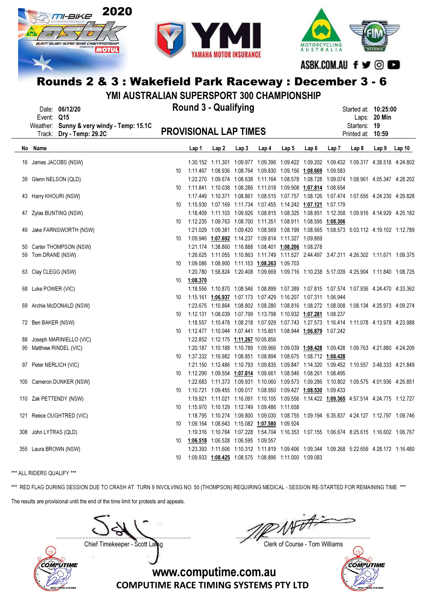





ASBK.COM.AU f y © O

# Rounds 2 & 3 : Wakefield Park Raceway : December 3 - 6

YMI AUSTRALIAN SUPERSPORT 300 CHAMPIONSHIP

| Event: Q15             | Date: 06/12/20<br>Weather: Sunny & very windy - Temp: 15.1C |                              | <b>Round 3 - Qualifying</b>                                               |                                      |      |                                                            |       |                                                                                           |             | Started at: 10:25:00<br>Starters: 19 | Laps: 20 Min     |        |
|------------------------|-------------------------------------------------------------|------------------------------|---------------------------------------------------------------------------|--------------------------------------|------|------------------------------------------------------------|-------|-------------------------------------------------------------------------------------------|-------------|--------------------------------------|------------------|--------|
|                        | Track: Dry - Temp: 29.2C                                    | <b>PROVISIONAL LAP TIMES</b> |                                                                           |                                      |      |                                                            |       |                                                                                           |             | Printed at: 10:59                    |                  |        |
| No Name                |                                                             |                              | <u>Lap 1</u>                                                              | Lap2                                 | Lap3 | Lap <sub>4</sub>                                           | Lap 5 | Lap6                                                                                      | Lap 7 Lap 8 |                                      | Lap <sub>9</sub> | Lap 10 |
|                        | 16 James JACOBS (NSW)                                       |                              |                                                                           |                                      |      |                                                            |       | 1:30.152 1:11.301 1:09.977 1:09.396 1:09.422 1:09.202 1:09.432 1:09.317 4:38.518 4:24.802 |             |                                      |                  |        |
|                        |                                                             | 10                           | 1:11.467  1:08.936  1:08.764  1:09.830  1:09.156  1:08.669  1:09.583      |                                      |      |                                                            |       |                                                                                           |             |                                      |                  |        |
| 39 Glenn NELSON (QLD)  |                                                             |                              |                                                                           |                                      |      |                                                            |       | 1:22.270 1:09.674 1:08.638 1:11.164 1:08.578 1:08.728 1:09.074 1:08.961 4:05.347 4:28.202 |             |                                      |                  |        |
|                        |                                                             | 10                           | 1:11.841  1:10.038  1:08.286  1:11.018  1:09.908 <u>1:07.814</u> 1:08.654 |                                      |      |                                                            |       |                                                                                           |             |                                      |                  |        |
| 43 Harry KHOURI (NSW)  |                                                             |                              |                                                                           |                                      |      |                                                            |       | 1:17.449 1:10.371 1:08.861 1:08.515 1:07.757 1:08.126 1:07.474 1:07.656 4:24.230 4:29.828 |             |                                      |                  |        |
|                        |                                                             | 10                           |                                                                           |                                      |      |                                                            |       | 1:15.930  1:07.169  1:11.734  1:07.455  1:14.242  1:07.121  1:07.179                      |             |                                      |                  |        |
|                        | 47 Zylas BUNTING (NSW)                                      |                              |                                                                           |                                      |      |                                                            |       | 1:18.409 1:11.103 1:09.926 1:08.815 1:08.325 1:08.851 1:12.358 1:09.916 4:14.929 4:25.182 |             |                                      |                  |        |
|                        |                                                             | 10                           | 1:12.235  1:09.763  1:08.700  1:11.351  1:08.911  1:08.595  1:08.306      |                                      |      |                                                            |       |                                                                                           |             |                                      |                  |        |
|                        | 49 Jake FARNSWORTH (NSW)                                    |                              |                                                                           |                                      |      |                                                            |       | 1:21.029 1:09.381 1:09.420 1:08.569 1:08.199 1:08.565 1:08.573 5:03.112 4:19.102 1:12.789 |             |                                      |                  |        |
|                        |                                                             | 10                           |                                                                           |                                      |      | 1:09.946 1:07.692 1:14.237 1:09.814 1:11.327 1:09.869      |       |                                                                                           |             |                                      |                  |        |
|                        | 50 Carter THOMPSON (NSW)                                    |                              |                                                                           |                                      |      | 1:21.174  1:38.860  1:16.888  1:08.401  1:08.206  1:08.278 |       |                                                                                           |             |                                      |                  |        |
| 59 Tom DRANE (NSW)     |                                                             |                              |                                                                           |                                      |      |                                                            |       | 1:26.625 1:11.055 1:10.863 1:11.749 1:11.527 2:44.497 3:47.311 4:26.302 1:11.671 1:09.375 |             |                                      |                  |        |
|                        |                                                             | 10                           |                                                                           |                                      |      | 1:09.086  1:08.900  1:11.153  1:08.263  1:09.703           |       |                                                                                           |             |                                      |                  |        |
| 63 Clay CLEGG (NSW)    |                                                             |                              |                                                                           |                                      |      |                                                            |       | 1:20.780 1:58.824 1:20.408 1:09.669 1:09.716 1:10.238 5:17.039 4:25.904 1:11.840 1:08.725 |             |                                      |                  |        |
|                        |                                                             | 10                           | <u>1:08.370</u>                                                           |                                      |      |                                                            |       |                                                                                           |             |                                      |                  |        |
| 68 Luke POWER (VIC)    |                                                             |                              |                                                                           |                                      |      |                                                            |       | 1:18.556 1:10.870 1:08.546 1:08.899 1:07.389 1:07.815 1:07.574 1:07.936 4:24.470 4:33.362 |             |                                      |                  |        |
|                        |                                                             | 10                           |                                                                           |                                      |      |                                                            |       | 1:15.161  1:06.937  1:07.173  1:07.429  1:16.207  1:07.311  1:06.944                      |             |                                      |                  |        |
|                        | 69 Archie McDONALD (NSW)                                    |                              |                                                                           |                                      |      |                                                            |       | 1:23.675 1:10.864 1:08.802 1:08.280 1:08.816 1:08.272 1:08.008 1:08.134 4:25.973 4:09.274 |             |                                      |                  |        |
|                        |                                                             | 10                           | 1:12.131  1:08.039  1:07.799  1:13.798  1:10.932  1:07.281  1:08.237      |                                      |      |                                                            |       |                                                                                           |             |                                      |                  |        |
| 72 Ben BAKER (NSW)     |                                                             |                              |                                                                           |                                      |      |                                                            |       | 1:18.557 1:10.478 1:08.218 1:07.929 1:07.743 1:27.573 1:16.414 1:11.078 4:13.978 4:23.988 |             |                                      |                  |        |
|                        |                                                             | 10                           |                                                                           |                                      |      |                                                            |       |                                                                                           |             |                                      |                  |        |
|                        | 88 Joseph MARINIELLO (VIC)                                  |                              |                                                                           | 1:22.852 1:12.175 1:11.267 10:05.856 |      |                                                            |       |                                                                                           |             |                                      |                  |        |
|                        | 95 Matthew RINDEL (VIC)                                     |                              |                                                                           |                                      |      |                                                            |       | 1:20.187 1:10.188 1:10.789 1:09.966 1:09.039 1:08.428 1:09.428 1:09.763 4:21.880 4:24.209 |             |                                      |                  |        |
|                        |                                                             | 10                           | 1:37.332  1:16.982  1:08.851  1:08.894  1:08.675  1:08.712  1:08.428      |                                      |      |                                                            |       |                                                                                           |             |                                      |                  |        |
| 97 Peter NERLICH (VIC) |                                                             |                              |                                                                           |                                      |      |                                                            |       | 1:21.150 1:12.486 1:10.793 1:09.835 1:09.847 1:14.320 1:09.452 1:10.557 3:48.333 4:21.849 |             |                                      |                  |        |
|                        |                                                             | 10                           |                                                                           |                                      |      |                                                            |       | 1:12.290  1:09.554  1:07.814  1:09.661  1:08.546  1:08.261  1:08.495                      |             |                                      |                  |        |
|                        | 105 Cameron DUNKER (NSW)                                    |                              |                                                                           |                                      |      |                                                            |       | 1:22.683 1:11.373 1:09.931 1:10.060 1:09.573 1:09.286 1:10.802 1:09.575 4:01.936 4:25.851 |             |                                      |                  |        |
|                        |                                                             | 10                           | 1:10.721  1:09.455  1:09.017  1:08.950  1:09.427  1:08.530  1:09.433      |                                      |      |                                                            |       |                                                                                           |             |                                      |                  |        |
|                        | 110 Zak PETTENDY (NSW)                                      |                              |                                                                           |                                      |      |                                                            |       | 1:19.921 1:11.021 1:16.091 1:10.105 1:09.556 1:14.422 1:09.365 4:57.514 4:24.775 1:12.727 |             |                                      |                  |        |
|                        |                                                             | 10                           |                                                                           |                                      |      | 1:15.970 1:10.129 1:12.749 1:09.486 1:11.658               |       |                                                                                           |             |                                      |                  |        |
|                        | 121 Reece OUGHTRED (VIC)                                    |                              |                                                                           |                                      |      |                                                            |       | 1:18.795 1:10.274 1:09.800 1:09.030 1:08.755 1:09.194 6:35.837 4:24.127 1:12.797 1:09.746 |             |                                      |                  |        |
|                        |                                                             | 10                           |                                                                           |                                      |      | 1:09.164 1:08.643 1:15.082 1:07.580 1:09.924               |       |                                                                                           |             |                                      |                  |        |
| 308 John LYTRAS (QLD)  |                                                             |                              |                                                                           |                                      |      |                                                            |       | 1:19.316 1:10.764 1:07.228 1:54.704 1:16.353 1:07.155 1:06.674 8:25.615 1:16.602 1:06.767 |             |                                      |                  |        |
|                        |                                                             | 10                           |                                                                           | 1:06.518 1:06.528 1:06.595 1:09.557  |      |                                                            |       |                                                                                           |             |                                      |                  |        |
| 355 Laura BROWN (NSW)  |                                                             |                              |                                                                           |                                      |      |                                                            |       | 1:23.393 1:11.606 1:10.312 1:11.819 1:09.406 1:09.344 1:09.268 5:22.659 4:28.172 1:16.480 |             |                                      |                  |        |
|                        |                                                             | 10                           | 1:09.933 1:08.425 1:08.575 1:08.896 1:11.000 1:09.083                     |                                      |      |                                                            |       |                                                                                           |             |                                      |                  |        |

\*\*\* ALL RIDERS QUALIFY \*\*\*

\*\*\* RED FLAG DURING SESSION DUE TO CRASH AT TURN 9 INVOLVING NO. 50 (THOMPSON) REQUIRING MEDICAL - SESSION RE-STARTED FOR REMAINING TIME \*\*\* The results are provisional until the end of the time limit for protests and appeals.

....................................................................................... .......................................................................................

Chief Timekeeper - Scott Laing Chief Timekeeper - Scott Laing



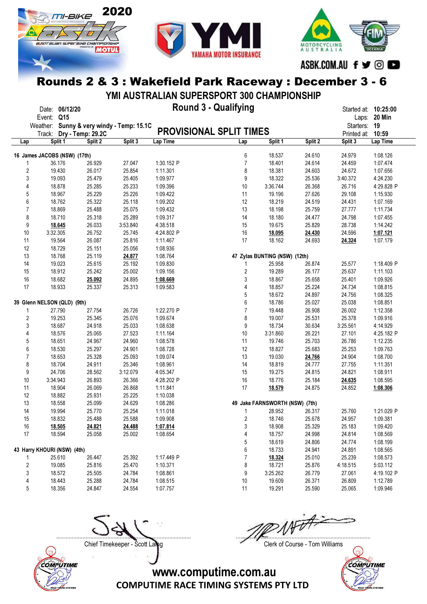





ASBK.COM.AU f ♥ © ■

## Rounds 2 & 3 : Wakefield Park Raceway : December 3 - 6

YMI AUSTRALIAN SUPERSPORT 300 CHAMPIONSHIP

| Event: Q15<br>Laps: 20 Min<br>Weather: Sunny & very windy - Temp: 15.1C<br>Starters: 19<br><b>PROVISIONAL SPLIT TIMES</b><br>Track: Dry - Temp: 29.2C<br>Printed at: 10:59<br>Split 1<br>Lap Time<br>Split 2<br>Split 3<br>Lap Time<br>Split 1<br>Split 2<br>Split 3<br>Lap<br>Lap<br>6<br>16 James JACOBS (NSW) (17th)<br>18.537<br>24.610<br>24.979<br>1:08.126<br>$\overline{7}$<br>36.176<br>26.929<br>27.047<br>1:30.152 P<br>18.401<br>24.614<br>24.459<br>1:07.474<br>$\overline{2}$<br>25.854<br>19.430<br>26.017<br>1:11.301<br>8<br>18.381<br>24.603<br>24.672<br>1:07.656<br>3<br>25.479<br>25.405<br>9<br>25.536<br>4:24.230<br>19.093<br>1:09.977<br>18.322<br>3:40.372<br>18.878<br>25.285<br>25.233<br>1:09.396<br>26.368<br>26.716<br>4<br>10<br>3:36.744<br>4:29.828 P<br>5<br>25.229<br>25.226<br>27.626<br>29.108<br>18.967<br>1:09.422<br>11<br>19.196<br>1:15.930<br>25.118<br>6<br>18.762<br>25.322<br>12<br>24.519<br>1:09.202<br>18.219<br>24.431<br>1:07.169<br>$\overline{7}$<br>25.488<br>25.075<br>27.777<br>18.869<br>1:09.432<br>13<br>18.198<br>25.759<br>1:11.734<br>8<br>18.710<br>25.318<br>25.289<br>14<br>24.477<br>24.798<br>1:09.317<br>18.180<br>1:07.455<br>9<br>26.033<br>3:53.840<br>4:38.518<br>19.675<br>25.829<br>1:14.242<br>18.645<br>15<br>28.738<br>10<br>26.752<br>25.745<br>16<br>24.596<br>3:32.305<br>4:24.802 P<br>18.095<br>24.430<br>1:07.121<br>26.087<br>25.816<br>17<br>18.162<br>24.693<br>11<br>19.564<br>1:11.467<br>24.324<br>1:07.179<br>25.056<br>12<br>18.729<br>25.151<br>1:08.936<br>25.119<br>47 Zylas BUNTING (NSW) (12th)<br>13<br>18.768<br>24.877<br>1:08.764<br>25.615<br>25.192<br>1:09.830<br>14<br>19.023<br>25.958<br>26.874<br>25.577<br>1:18.409 P<br>1<br>18.912<br>25.242<br>25.002<br>2<br>26.177<br>25.637<br>15<br>1:09.156<br>19.289<br>1:11.103<br>16<br>18.682<br>24.895<br>3<br>25.658<br>25.401<br>25.092<br>1:08.669<br>18.867<br>1:09.926<br>17<br>25.313<br>25.224<br>24.734<br>18.933<br>25.337<br>1:09.583<br>4<br>18.857<br>1:08.815<br>5<br>24.756<br>18.672<br>24.897<br>1:08.325<br>6<br>39 Glenn NELSON (QLD) (9th)<br>18.786<br>25.027<br>25.038<br>1:08.851<br>$\overline{7}$<br>26.726<br>26.908<br>26.002<br>27.790<br>27.754<br>1:22.270 P<br>19.448<br>1:12.358<br>1<br>2<br>19.253<br>25.345<br>25.076<br>8<br>25.531<br>25.378<br>1:09.674<br>19.007<br>1:09.916<br>3<br>24.918<br>25.033<br>9<br>18.734<br>18.687<br>1:08.638<br>30.634<br>3:25.561<br>4:14.929<br>27.523<br>4<br>18.576<br>25.065<br>1:11.164<br>10<br>3:31.860<br>26.221<br>27.101<br>4:25.182 P<br>24.960<br>25.703<br>5<br>18.651<br>24.967<br>1:08.578<br>11<br>19.746<br>26.786<br>1:12.235<br>6<br>25.297<br>24.901<br>25.683<br>18.530<br>1:08.728<br>12<br>18.827<br>25.253<br>1:09.763<br>$\overline{7}$<br>18.653<br>25.328<br>25.093<br>24.766<br>24.904<br>1:09.074<br>13<br>19.030<br>1:08.700<br>8<br>18.704<br>24.911<br>25.346<br>1:08.961<br>14<br>24.777<br>27.755<br>18.819<br>1:11.351<br>24.706<br>3:12.079<br>24.815<br>9<br>28.562<br>4:05.347<br>15<br>19.275<br>24.821<br>1:08.911<br>26.893<br>26.366<br>10<br>3:34.943<br>4:28.202 P<br>16<br>18.776<br>25.184<br>24.635<br>1:08.595<br>26.069<br>26.868<br>11<br>18.904<br>1:11.841<br>17<br>24.875<br>18.579<br>24.852<br>1:08.306<br>12<br>25.931<br>25.225<br>18.882<br>1:10.038<br>24.629<br>13<br>18.558<br>25.099<br>1:08.286<br>49 Jake FARNSWORTH (NSW) (7th)<br>25.254<br>14<br>19.994<br>25.770<br>1:11.018<br>28.952<br>26.317<br>25.760<br>1:21.029 P<br>1<br>$\overline{2}$<br>15<br>18.832<br>25.488<br>25.588<br>1:09.908<br>18.746<br>25.678<br>24.957<br>1:09.381<br>16<br><u>18.505</u><br><u>24.821</u><br><u>24.488</u><br><u>1:07.814</u><br>3<br>18.908<br>25.329<br>25.183<br>1:09.420<br>17<br>18.594<br>25.058<br>25.002<br>1:08.654<br>4<br>18.757<br>24.998<br>24.814<br>1:08.569<br>5<br>18.619<br>24.806<br>24.774<br>1:08.199<br>6<br>43 Harry KHOURI (NSW) (4th)<br>18.733<br>24.941<br>24.891<br>1:08.565<br>26.447<br>7<br>25.610<br>25.392<br>1:17.449 P<br>18.324<br>25.010<br>25.239<br>1:08.573<br>$\overline{2}$<br>19.085<br>25.816<br>25.470<br>18.721<br>1:10.371<br>8<br>25.876<br>4:18.515<br>5:03.112<br>3<br>25.505<br>24.784<br>9<br>26.779<br>18.572<br>1:08.861<br>3:25.262<br>27.061<br>4:19.102 P<br>18.443<br>25.288<br>24.784<br>1:08.515<br>10<br>19.609<br>26.371<br>26.809<br>1:12.789<br>4<br>5<br>18.356<br>24.554<br>11<br>25.590<br>1:09.946<br>24.847<br>1:07.757<br>19.291<br>25.065 | Date: 06/12/20 |  | Round 3 - Qualifying |  | Started at: 10:25:00 |  |
|-------------------------------------------------------------------------------------------------------------------------------------------------------------------------------------------------------------------------------------------------------------------------------------------------------------------------------------------------------------------------------------------------------------------------------------------------------------------------------------------------------------------------------------------------------------------------------------------------------------------------------------------------------------------------------------------------------------------------------------------------------------------------------------------------------------------------------------------------------------------------------------------------------------------------------------------------------------------------------------------------------------------------------------------------------------------------------------------------------------------------------------------------------------------------------------------------------------------------------------------------------------------------------------------------------------------------------------------------------------------------------------------------------------------------------------------------------------------------------------------------------------------------------------------------------------------------------------------------------------------------------------------------------------------------------------------------------------------------------------------------------------------------------------------------------------------------------------------------------------------------------------------------------------------------------------------------------------------------------------------------------------------------------------------------------------------------------------------------------------------------------------------------------------------------------------------------------------------------------------------------------------------------------------------------------------------------------------------------------------------------------------------------------------------------------------------------------------------------------------------------------------------------------------------------------------------------------------------------------------------------------------------------------------------------------------------------------------------------------------------------------------------------------------------------------------------------------------------------------------------------------------------------------------------------------------------------------------------------------------------------------------------------------------------------------------------------------------------------------------------------------------------------------------------------------------------------------------------------------------------------------------------------------------------------------------------------------------------------------------------------------------------------------------------------------------------------------------------------------------------------------------------------------------------------------------------------------------------------------------------------------------------------------------------------------------------------------------------------------------------------------------------------------------------------------------------------------------------------------------------------------------------------------------------------------------------------------------------------------------------------------------------------------------------------------------------------------------------------------------------------------------------------------------------------------------------------------------------------------------------------------------------------------------------------------------------------------------------------------------------------------------------------------------------------------------------------------------------------------------------------------------|----------------|--|----------------------|--|----------------------|--|
|                                                                                                                                                                                                                                                                                                                                                                                                                                                                                                                                                                                                                                                                                                                                                                                                                                                                                                                                                                                                                                                                                                                                                                                                                                                                                                                                                                                                                                                                                                                                                                                                                                                                                                                                                                                                                                                                                                                                                                                                                                                                                                                                                                                                                                                                                                                                                                                                                                                                                                                                                                                                                                                                                                                                                                                                                                                                                                                                                                                                                                                                                                                                                                                                                                                                                                                                                                                                                                                                                                                                                                                                                                                                                                                                                                                                                                                                                                                                                                                                                                                                                                                                                                                                                                                                                                                                                                                                                                                                                                             |                |  |                      |  |                      |  |
|                                                                                                                                                                                                                                                                                                                                                                                                                                                                                                                                                                                                                                                                                                                                                                                                                                                                                                                                                                                                                                                                                                                                                                                                                                                                                                                                                                                                                                                                                                                                                                                                                                                                                                                                                                                                                                                                                                                                                                                                                                                                                                                                                                                                                                                                                                                                                                                                                                                                                                                                                                                                                                                                                                                                                                                                                                                                                                                                                                                                                                                                                                                                                                                                                                                                                                                                                                                                                                                                                                                                                                                                                                                                                                                                                                                                                                                                                                                                                                                                                                                                                                                                                                                                                                                                                                                                                                                                                                                                                                             |                |  |                      |  |                      |  |
|                                                                                                                                                                                                                                                                                                                                                                                                                                                                                                                                                                                                                                                                                                                                                                                                                                                                                                                                                                                                                                                                                                                                                                                                                                                                                                                                                                                                                                                                                                                                                                                                                                                                                                                                                                                                                                                                                                                                                                                                                                                                                                                                                                                                                                                                                                                                                                                                                                                                                                                                                                                                                                                                                                                                                                                                                                                                                                                                                                                                                                                                                                                                                                                                                                                                                                                                                                                                                                                                                                                                                                                                                                                                                                                                                                                                                                                                                                                                                                                                                                                                                                                                                                                                                                                                                                                                                                                                                                                                                                             |                |  |                      |  |                      |  |
|                                                                                                                                                                                                                                                                                                                                                                                                                                                                                                                                                                                                                                                                                                                                                                                                                                                                                                                                                                                                                                                                                                                                                                                                                                                                                                                                                                                                                                                                                                                                                                                                                                                                                                                                                                                                                                                                                                                                                                                                                                                                                                                                                                                                                                                                                                                                                                                                                                                                                                                                                                                                                                                                                                                                                                                                                                                                                                                                                                                                                                                                                                                                                                                                                                                                                                                                                                                                                                                                                                                                                                                                                                                                                                                                                                                                                                                                                                                                                                                                                                                                                                                                                                                                                                                                                                                                                                                                                                                                                                             |                |  |                      |  |                      |  |
|                                                                                                                                                                                                                                                                                                                                                                                                                                                                                                                                                                                                                                                                                                                                                                                                                                                                                                                                                                                                                                                                                                                                                                                                                                                                                                                                                                                                                                                                                                                                                                                                                                                                                                                                                                                                                                                                                                                                                                                                                                                                                                                                                                                                                                                                                                                                                                                                                                                                                                                                                                                                                                                                                                                                                                                                                                                                                                                                                                                                                                                                                                                                                                                                                                                                                                                                                                                                                                                                                                                                                                                                                                                                                                                                                                                                                                                                                                                                                                                                                                                                                                                                                                                                                                                                                                                                                                                                                                                                                                             |                |  |                      |  |                      |  |
|                                                                                                                                                                                                                                                                                                                                                                                                                                                                                                                                                                                                                                                                                                                                                                                                                                                                                                                                                                                                                                                                                                                                                                                                                                                                                                                                                                                                                                                                                                                                                                                                                                                                                                                                                                                                                                                                                                                                                                                                                                                                                                                                                                                                                                                                                                                                                                                                                                                                                                                                                                                                                                                                                                                                                                                                                                                                                                                                                                                                                                                                                                                                                                                                                                                                                                                                                                                                                                                                                                                                                                                                                                                                                                                                                                                                                                                                                                                                                                                                                                                                                                                                                                                                                                                                                                                                                                                                                                                                                                             |                |  |                      |  |                      |  |
|                                                                                                                                                                                                                                                                                                                                                                                                                                                                                                                                                                                                                                                                                                                                                                                                                                                                                                                                                                                                                                                                                                                                                                                                                                                                                                                                                                                                                                                                                                                                                                                                                                                                                                                                                                                                                                                                                                                                                                                                                                                                                                                                                                                                                                                                                                                                                                                                                                                                                                                                                                                                                                                                                                                                                                                                                                                                                                                                                                                                                                                                                                                                                                                                                                                                                                                                                                                                                                                                                                                                                                                                                                                                                                                                                                                                                                                                                                                                                                                                                                                                                                                                                                                                                                                                                                                                                                                                                                                                                                             |                |  |                      |  |                      |  |
|                                                                                                                                                                                                                                                                                                                                                                                                                                                                                                                                                                                                                                                                                                                                                                                                                                                                                                                                                                                                                                                                                                                                                                                                                                                                                                                                                                                                                                                                                                                                                                                                                                                                                                                                                                                                                                                                                                                                                                                                                                                                                                                                                                                                                                                                                                                                                                                                                                                                                                                                                                                                                                                                                                                                                                                                                                                                                                                                                                                                                                                                                                                                                                                                                                                                                                                                                                                                                                                                                                                                                                                                                                                                                                                                                                                                                                                                                                                                                                                                                                                                                                                                                                                                                                                                                                                                                                                                                                                                                                             |                |  |                      |  |                      |  |
|                                                                                                                                                                                                                                                                                                                                                                                                                                                                                                                                                                                                                                                                                                                                                                                                                                                                                                                                                                                                                                                                                                                                                                                                                                                                                                                                                                                                                                                                                                                                                                                                                                                                                                                                                                                                                                                                                                                                                                                                                                                                                                                                                                                                                                                                                                                                                                                                                                                                                                                                                                                                                                                                                                                                                                                                                                                                                                                                                                                                                                                                                                                                                                                                                                                                                                                                                                                                                                                                                                                                                                                                                                                                                                                                                                                                                                                                                                                                                                                                                                                                                                                                                                                                                                                                                                                                                                                                                                                                                                             |                |  |                      |  |                      |  |
|                                                                                                                                                                                                                                                                                                                                                                                                                                                                                                                                                                                                                                                                                                                                                                                                                                                                                                                                                                                                                                                                                                                                                                                                                                                                                                                                                                                                                                                                                                                                                                                                                                                                                                                                                                                                                                                                                                                                                                                                                                                                                                                                                                                                                                                                                                                                                                                                                                                                                                                                                                                                                                                                                                                                                                                                                                                                                                                                                                                                                                                                                                                                                                                                                                                                                                                                                                                                                                                                                                                                                                                                                                                                                                                                                                                                                                                                                                                                                                                                                                                                                                                                                                                                                                                                                                                                                                                                                                                                                                             |                |  |                      |  |                      |  |
|                                                                                                                                                                                                                                                                                                                                                                                                                                                                                                                                                                                                                                                                                                                                                                                                                                                                                                                                                                                                                                                                                                                                                                                                                                                                                                                                                                                                                                                                                                                                                                                                                                                                                                                                                                                                                                                                                                                                                                                                                                                                                                                                                                                                                                                                                                                                                                                                                                                                                                                                                                                                                                                                                                                                                                                                                                                                                                                                                                                                                                                                                                                                                                                                                                                                                                                                                                                                                                                                                                                                                                                                                                                                                                                                                                                                                                                                                                                                                                                                                                                                                                                                                                                                                                                                                                                                                                                                                                                                                                             |                |  |                      |  |                      |  |
|                                                                                                                                                                                                                                                                                                                                                                                                                                                                                                                                                                                                                                                                                                                                                                                                                                                                                                                                                                                                                                                                                                                                                                                                                                                                                                                                                                                                                                                                                                                                                                                                                                                                                                                                                                                                                                                                                                                                                                                                                                                                                                                                                                                                                                                                                                                                                                                                                                                                                                                                                                                                                                                                                                                                                                                                                                                                                                                                                                                                                                                                                                                                                                                                                                                                                                                                                                                                                                                                                                                                                                                                                                                                                                                                                                                                                                                                                                                                                                                                                                                                                                                                                                                                                                                                                                                                                                                                                                                                                                             |                |  |                      |  |                      |  |
|                                                                                                                                                                                                                                                                                                                                                                                                                                                                                                                                                                                                                                                                                                                                                                                                                                                                                                                                                                                                                                                                                                                                                                                                                                                                                                                                                                                                                                                                                                                                                                                                                                                                                                                                                                                                                                                                                                                                                                                                                                                                                                                                                                                                                                                                                                                                                                                                                                                                                                                                                                                                                                                                                                                                                                                                                                                                                                                                                                                                                                                                                                                                                                                                                                                                                                                                                                                                                                                                                                                                                                                                                                                                                                                                                                                                                                                                                                                                                                                                                                                                                                                                                                                                                                                                                                                                                                                                                                                                                                             |                |  |                      |  |                      |  |
|                                                                                                                                                                                                                                                                                                                                                                                                                                                                                                                                                                                                                                                                                                                                                                                                                                                                                                                                                                                                                                                                                                                                                                                                                                                                                                                                                                                                                                                                                                                                                                                                                                                                                                                                                                                                                                                                                                                                                                                                                                                                                                                                                                                                                                                                                                                                                                                                                                                                                                                                                                                                                                                                                                                                                                                                                                                                                                                                                                                                                                                                                                                                                                                                                                                                                                                                                                                                                                                                                                                                                                                                                                                                                                                                                                                                                                                                                                                                                                                                                                                                                                                                                                                                                                                                                                                                                                                                                                                                                                             |                |  |                      |  |                      |  |
|                                                                                                                                                                                                                                                                                                                                                                                                                                                                                                                                                                                                                                                                                                                                                                                                                                                                                                                                                                                                                                                                                                                                                                                                                                                                                                                                                                                                                                                                                                                                                                                                                                                                                                                                                                                                                                                                                                                                                                                                                                                                                                                                                                                                                                                                                                                                                                                                                                                                                                                                                                                                                                                                                                                                                                                                                                                                                                                                                                                                                                                                                                                                                                                                                                                                                                                                                                                                                                                                                                                                                                                                                                                                                                                                                                                                                                                                                                                                                                                                                                                                                                                                                                                                                                                                                                                                                                                                                                                                                                             |                |  |                      |  |                      |  |
|                                                                                                                                                                                                                                                                                                                                                                                                                                                                                                                                                                                                                                                                                                                                                                                                                                                                                                                                                                                                                                                                                                                                                                                                                                                                                                                                                                                                                                                                                                                                                                                                                                                                                                                                                                                                                                                                                                                                                                                                                                                                                                                                                                                                                                                                                                                                                                                                                                                                                                                                                                                                                                                                                                                                                                                                                                                                                                                                                                                                                                                                                                                                                                                                                                                                                                                                                                                                                                                                                                                                                                                                                                                                                                                                                                                                                                                                                                                                                                                                                                                                                                                                                                                                                                                                                                                                                                                                                                                                                                             |                |  |                      |  |                      |  |
|                                                                                                                                                                                                                                                                                                                                                                                                                                                                                                                                                                                                                                                                                                                                                                                                                                                                                                                                                                                                                                                                                                                                                                                                                                                                                                                                                                                                                                                                                                                                                                                                                                                                                                                                                                                                                                                                                                                                                                                                                                                                                                                                                                                                                                                                                                                                                                                                                                                                                                                                                                                                                                                                                                                                                                                                                                                                                                                                                                                                                                                                                                                                                                                                                                                                                                                                                                                                                                                                                                                                                                                                                                                                                                                                                                                                                                                                                                                                                                                                                                                                                                                                                                                                                                                                                                                                                                                                                                                                                                             |                |  |                      |  |                      |  |
|                                                                                                                                                                                                                                                                                                                                                                                                                                                                                                                                                                                                                                                                                                                                                                                                                                                                                                                                                                                                                                                                                                                                                                                                                                                                                                                                                                                                                                                                                                                                                                                                                                                                                                                                                                                                                                                                                                                                                                                                                                                                                                                                                                                                                                                                                                                                                                                                                                                                                                                                                                                                                                                                                                                                                                                                                                                                                                                                                                                                                                                                                                                                                                                                                                                                                                                                                                                                                                                                                                                                                                                                                                                                                                                                                                                                                                                                                                                                                                                                                                                                                                                                                                                                                                                                                                                                                                                                                                                                                                             |                |  |                      |  |                      |  |
|                                                                                                                                                                                                                                                                                                                                                                                                                                                                                                                                                                                                                                                                                                                                                                                                                                                                                                                                                                                                                                                                                                                                                                                                                                                                                                                                                                                                                                                                                                                                                                                                                                                                                                                                                                                                                                                                                                                                                                                                                                                                                                                                                                                                                                                                                                                                                                                                                                                                                                                                                                                                                                                                                                                                                                                                                                                                                                                                                                                                                                                                                                                                                                                                                                                                                                                                                                                                                                                                                                                                                                                                                                                                                                                                                                                                                                                                                                                                                                                                                                                                                                                                                                                                                                                                                                                                                                                                                                                                                                             |                |  |                      |  |                      |  |
|                                                                                                                                                                                                                                                                                                                                                                                                                                                                                                                                                                                                                                                                                                                                                                                                                                                                                                                                                                                                                                                                                                                                                                                                                                                                                                                                                                                                                                                                                                                                                                                                                                                                                                                                                                                                                                                                                                                                                                                                                                                                                                                                                                                                                                                                                                                                                                                                                                                                                                                                                                                                                                                                                                                                                                                                                                                                                                                                                                                                                                                                                                                                                                                                                                                                                                                                                                                                                                                                                                                                                                                                                                                                                                                                                                                                                                                                                                                                                                                                                                                                                                                                                                                                                                                                                                                                                                                                                                                                                                             |                |  |                      |  |                      |  |
|                                                                                                                                                                                                                                                                                                                                                                                                                                                                                                                                                                                                                                                                                                                                                                                                                                                                                                                                                                                                                                                                                                                                                                                                                                                                                                                                                                                                                                                                                                                                                                                                                                                                                                                                                                                                                                                                                                                                                                                                                                                                                                                                                                                                                                                                                                                                                                                                                                                                                                                                                                                                                                                                                                                                                                                                                                                                                                                                                                                                                                                                                                                                                                                                                                                                                                                                                                                                                                                                                                                                                                                                                                                                                                                                                                                                                                                                                                                                                                                                                                                                                                                                                                                                                                                                                                                                                                                                                                                                                                             |                |  |                      |  |                      |  |
|                                                                                                                                                                                                                                                                                                                                                                                                                                                                                                                                                                                                                                                                                                                                                                                                                                                                                                                                                                                                                                                                                                                                                                                                                                                                                                                                                                                                                                                                                                                                                                                                                                                                                                                                                                                                                                                                                                                                                                                                                                                                                                                                                                                                                                                                                                                                                                                                                                                                                                                                                                                                                                                                                                                                                                                                                                                                                                                                                                                                                                                                                                                                                                                                                                                                                                                                                                                                                                                                                                                                                                                                                                                                                                                                                                                                                                                                                                                                                                                                                                                                                                                                                                                                                                                                                                                                                                                                                                                                                                             |                |  |                      |  |                      |  |
|                                                                                                                                                                                                                                                                                                                                                                                                                                                                                                                                                                                                                                                                                                                                                                                                                                                                                                                                                                                                                                                                                                                                                                                                                                                                                                                                                                                                                                                                                                                                                                                                                                                                                                                                                                                                                                                                                                                                                                                                                                                                                                                                                                                                                                                                                                                                                                                                                                                                                                                                                                                                                                                                                                                                                                                                                                                                                                                                                                                                                                                                                                                                                                                                                                                                                                                                                                                                                                                                                                                                                                                                                                                                                                                                                                                                                                                                                                                                                                                                                                                                                                                                                                                                                                                                                                                                                                                                                                                                                                             |                |  |                      |  |                      |  |
|                                                                                                                                                                                                                                                                                                                                                                                                                                                                                                                                                                                                                                                                                                                                                                                                                                                                                                                                                                                                                                                                                                                                                                                                                                                                                                                                                                                                                                                                                                                                                                                                                                                                                                                                                                                                                                                                                                                                                                                                                                                                                                                                                                                                                                                                                                                                                                                                                                                                                                                                                                                                                                                                                                                                                                                                                                                                                                                                                                                                                                                                                                                                                                                                                                                                                                                                                                                                                                                                                                                                                                                                                                                                                                                                                                                                                                                                                                                                                                                                                                                                                                                                                                                                                                                                                                                                                                                                                                                                                                             |                |  |                      |  |                      |  |
|                                                                                                                                                                                                                                                                                                                                                                                                                                                                                                                                                                                                                                                                                                                                                                                                                                                                                                                                                                                                                                                                                                                                                                                                                                                                                                                                                                                                                                                                                                                                                                                                                                                                                                                                                                                                                                                                                                                                                                                                                                                                                                                                                                                                                                                                                                                                                                                                                                                                                                                                                                                                                                                                                                                                                                                                                                                                                                                                                                                                                                                                                                                                                                                                                                                                                                                                                                                                                                                                                                                                                                                                                                                                                                                                                                                                                                                                                                                                                                                                                                                                                                                                                                                                                                                                                                                                                                                                                                                                                                             |                |  |                      |  |                      |  |
|                                                                                                                                                                                                                                                                                                                                                                                                                                                                                                                                                                                                                                                                                                                                                                                                                                                                                                                                                                                                                                                                                                                                                                                                                                                                                                                                                                                                                                                                                                                                                                                                                                                                                                                                                                                                                                                                                                                                                                                                                                                                                                                                                                                                                                                                                                                                                                                                                                                                                                                                                                                                                                                                                                                                                                                                                                                                                                                                                                                                                                                                                                                                                                                                                                                                                                                                                                                                                                                                                                                                                                                                                                                                                                                                                                                                                                                                                                                                                                                                                                                                                                                                                                                                                                                                                                                                                                                                                                                                                                             |                |  |                      |  |                      |  |
|                                                                                                                                                                                                                                                                                                                                                                                                                                                                                                                                                                                                                                                                                                                                                                                                                                                                                                                                                                                                                                                                                                                                                                                                                                                                                                                                                                                                                                                                                                                                                                                                                                                                                                                                                                                                                                                                                                                                                                                                                                                                                                                                                                                                                                                                                                                                                                                                                                                                                                                                                                                                                                                                                                                                                                                                                                                                                                                                                                                                                                                                                                                                                                                                                                                                                                                                                                                                                                                                                                                                                                                                                                                                                                                                                                                                                                                                                                                                                                                                                                                                                                                                                                                                                                                                                                                                                                                                                                                                                                             |                |  |                      |  |                      |  |
|                                                                                                                                                                                                                                                                                                                                                                                                                                                                                                                                                                                                                                                                                                                                                                                                                                                                                                                                                                                                                                                                                                                                                                                                                                                                                                                                                                                                                                                                                                                                                                                                                                                                                                                                                                                                                                                                                                                                                                                                                                                                                                                                                                                                                                                                                                                                                                                                                                                                                                                                                                                                                                                                                                                                                                                                                                                                                                                                                                                                                                                                                                                                                                                                                                                                                                                                                                                                                                                                                                                                                                                                                                                                                                                                                                                                                                                                                                                                                                                                                                                                                                                                                                                                                                                                                                                                                                                                                                                                                                             |                |  |                      |  |                      |  |
|                                                                                                                                                                                                                                                                                                                                                                                                                                                                                                                                                                                                                                                                                                                                                                                                                                                                                                                                                                                                                                                                                                                                                                                                                                                                                                                                                                                                                                                                                                                                                                                                                                                                                                                                                                                                                                                                                                                                                                                                                                                                                                                                                                                                                                                                                                                                                                                                                                                                                                                                                                                                                                                                                                                                                                                                                                                                                                                                                                                                                                                                                                                                                                                                                                                                                                                                                                                                                                                                                                                                                                                                                                                                                                                                                                                                                                                                                                                                                                                                                                                                                                                                                                                                                                                                                                                                                                                                                                                                                                             |                |  |                      |  |                      |  |
|                                                                                                                                                                                                                                                                                                                                                                                                                                                                                                                                                                                                                                                                                                                                                                                                                                                                                                                                                                                                                                                                                                                                                                                                                                                                                                                                                                                                                                                                                                                                                                                                                                                                                                                                                                                                                                                                                                                                                                                                                                                                                                                                                                                                                                                                                                                                                                                                                                                                                                                                                                                                                                                                                                                                                                                                                                                                                                                                                                                                                                                                                                                                                                                                                                                                                                                                                                                                                                                                                                                                                                                                                                                                                                                                                                                                                                                                                                                                                                                                                                                                                                                                                                                                                                                                                                                                                                                                                                                                                                             |                |  |                      |  |                      |  |
|                                                                                                                                                                                                                                                                                                                                                                                                                                                                                                                                                                                                                                                                                                                                                                                                                                                                                                                                                                                                                                                                                                                                                                                                                                                                                                                                                                                                                                                                                                                                                                                                                                                                                                                                                                                                                                                                                                                                                                                                                                                                                                                                                                                                                                                                                                                                                                                                                                                                                                                                                                                                                                                                                                                                                                                                                                                                                                                                                                                                                                                                                                                                                                                                                                                                                                                                                                                                                                                                                                                                                                                                                                                                                                                                                                                                                                                                                                                                                                                                                                                                                                                                                                                                                                                                                                                                                                                                                                                                                                             |                |  |                      |  |                      |  |
|                                                                                                                                                                                                                                                                                                                                                                                                                                                                                                                                                                                                                                                                                                                                                                                                                                                                                                                                                                                                                                                                                                                                                                                                                                                                                                                                                                                                                                                                                                                                                                                                                                                                                                                                                                                                                                                                                                                                                                                                                                                                                                                                                                                                                                                                                                                                                                                                                                                                                                                                                                                                                                                                                                                                                                                                                                                                                                                                                                                                                                                                                                                                                                                                                                                                                                                                                                                                                                                                                                                                                                                                                                                                                                                                                                                                                                                                                                                                                                                                                                                                                                                                                                                                                                                                                                                                                                                                                                                                                                             |                |  |                      |  |                      |  |
|                                                                                                                                                                                                                                                                                                                                                                                                                                                                                                                                                                                                                                                                                                                                                                                                                                                                                                                                                                                                                                                                                                                                                                                                                                                                                                                                                                                                                                                                                                                                                                                                                                                                                                                                                                                                                                                                                                                                                                                                                                                                                                                                                                                                                                                                                                                                                                                                                                                                                                                                                                                                                                                                                                                                                                                                                                                                                                                                                                                                                                                                                                                                                                                                                                                                                                                                                                                                                                                                                                                                                                                                                                                                                                                                                                                                                                                                                                                                                                                                                                                                                                                                                                                                                                                                                                                                                                                                                                                                                                             |                |  |                      |  |                      |  |
|                                                                                                                                                                                                                                                                                                                                                                                                                                                                                                                                                                                                                                                                                                                                                                                                                                                                                                                                                                                                                                                                                                                                                                                                                                                                                                                                                                                                                                                                                                                                                                                                                                                                                                                                                                                                                                                                                                                                                                                                                                                                                                                                                                                                                                                                                                                                                                                                                                                                                                                                                                                                                                                                                                                                                                                                                                                                                                                                                                                                                                                                                                                                                                                                                                                                                                                                                                                                                                                                                                                                                                                                                                                                                                                                                                                                                                                                                                                                                                                                                                                                                                                                                                                                                                                                                                                                                                                                                                                                                                             |                |  |                      |  |                      |  |
|                                                                                                                                                                                                                                                                                                                                                                                                                                                                                                                                                                                                                                                                                                                                                                                                                                                                                                                                                                                                                                                                                                                                                                                                                                                                                                                                                                                                                                                                                                                                                                                                                                                                                                                                                                                                                                                                                                                                                                                                                                                                                                                                                                                                                                                                                                                                                                                                                                                                                                                                                                                                                                                                                                                                                                                                                                                                                                                                                                                                                                                                                                                                                                                                                                                                                                                                                                                                                                                                                                                                                                                                                                                                                                                                                                                                                                                                                                                                                                                                                                                                                                                                                                                                                                                                                                                                                                                                                                                                                                             |                |  |                      |  |                      |  |
|                                                                                                                                                                                                                                                                                                                                                                                                                                                                                                                                                                                                                                                                                                                                                                                                                                                                                                                                                                                                                                                                                                                                                                                                                                                                                                                                                                                                                                                                                                                                                                                                                                                                                                                                                                                                                                                                                                                                                                                                                                                                                                                                                                                                                                                                                                                                                                                                                                                                                                                                                                                                                                                                                                                                                                                                                                                                                                                                                                                                                                                                                                                                                                                                                                                                                                                                                                                                                                                                                                                                                                                                                                                                                                                                                                                                                                                                                                                                                                                                                                                                                                                                                                                                                                                                                                                                                                                                                                                                                                             |                |  |                      |  |                      |  |
|                                                                                                                                                                                                                                                                                                                                                                                                                                                                                                                                                                                                                                                                                                                                                                                                                                                                                                                                                                                                                                                                                                                                                                                                                                                                                                                                                                                                                                                                                                                                                                                                                                                                                                                                                                                                                                                                                                                                                                                                                                                                                                                                                                                                                                                                                                                                                                                                                                                                                                                                                                                                                                                                                                                                                                                                                                                                                                                                                                                                                                                                                                                                                                                                                                                                                                                                                                                                                                                                                                                                                                                                                                                                                                                                                                                                                                                                                                                                                                                                                                                                                                                                                                                                                                                                                                                                                                                                                                                                                                             |                |  |                      |  |                      |  |
|                                                                                                                                                                                                                                                                                                                                                                                                                                                                                                                                                                                                                                                                                                                                                                                                                                                                                                                                                                                                                                                                                                                                                                                                                                                                                                                                                                                                                                                                                                                                                                                                                                                                                                                                                                                                                                                                                                                                                                                                                                                                                                                                                                                                                                                                                                                                                                                                                                                                                                                                                                                                                                                                                                                                                                                                                                                                                                                                                                                                                                                                                                                                                                                                                                                                                                                                                                                                                                                                                                                                                                                                                                                                                                                                                                                                                                                                                                                                                                                                                                                                                                                                                                                                                                                                                                                                                                                                                                                                                                             |                |  |                      |  |                      |  |
|                                                                                                                                                                                                                                                                                                                                                                                                                                                                                                                                                                                                                                                                                                                                                                                                                                                                                                                                                                                                                                                                                                                                                                                                                                                                                                                                                                                                                                                                                                                                                                                                                                                                                                                                                                                                                                                                                                                                                                                                                                                                                                                                                                                                                                                                                                                                                                                                                                                                                                                                                                                                                                                                                                                                                                                                                                                                                                                                                                                                                                                                                                                                                                                                                                                                                                                                                                                                                                                                                                                                                                                                                                                                                                                                                                                                                                                                                                                                                                                                                                                                                                                                                                                                                                                                                                                                                                                                                                                                                                             |                |  |                      |  |                      |  |
|                                                                                                                                                                                                                                                                                                                                                                                                                                                                                                                                                                                                                                                                                                                                                                                                                                                                                                                                                                                                                                                                                                                                                                                                                                                                                                                                                                                                                                                                                                                                                                                                                                                                                                                                                                                                                                                                                                                                                                                                                                                                                                                                                                                                                                                                                                                                                                                                                                                                                                                                                                                                                                                                                                                                                                                                                                                                                                                                                                                                                                                                                                                                                                                                                                                                                                                                                                                                                                                                                                                                                                                                                                                                                                                                                                                                                                                                                                                                                                                                                                                                                                                                                                                                                                                                                                                                                                                                                                                                                                             |                |  |                      |  |                      |  |
|                                                                                                                                                                                                                                                                                                                                                                                                                                                                                                                                                                                                                                                                                                                                                                                                                                                                                                                                                                                                                                                                                                                                                                                                                                                                                                                                                                                                                                                                                                                                                                                                                                                                                                                                                                                                                                                                                                                                                                                                                                                                                                                                                                                                                                                                                                                                                                                                                                                                                                                                                                                                                                                                                                                                                                                                                                                                                                                                                                                                                                                                                                                                                                                                                                                                                                                                                                                                                                                                                                                                                                                                                                                                                                                                                                                                                                                                                                                                                                                                                                                                                                                                                                                                                                                                                                                                                                                                                                                                                                             |                |  |                      |  |                      |  |
|                                                                                                                                                                                                                                                                                                                                                                                                                                                                                                                                                                                                                                                                                                                                                                                                                                                                                                                                                                                                                                                                                                                                                                                                                                                                                                                                                                                                                                                                                                                                                                                                                                                                                                                                                                                                                                                                                                                                                                                                                                                                                                                                                                                                                                                                                                                                                                                                                                                                                                                                                                                                                                                                                                                                                                                                                                                                                                                                                                                                                                                                                                                                                                                                                                                                                                                                                                                                                                                                                                                                                                                                                                                                                                                                                                                                                                                                                                                                                                                                                                                                                                                                                                                                                                                                                                                                                                                                                                                                                                             |                |  |                      |  |                      |  |
|                                                                                                                                                                                                                                                                                                                                                                                                                                                                                                                                                                                                                                                                                                                                                                                                                                                                                                                                                                                                                                                                                                                                                                                                                                                                                                                                                                                                                                                                                                                                                                                                                                                                                                                                                                                                                                                                                                                                                                                                                                                                                                                                                                                                                                                                                                                                                                                                                                                                                                                                                                                                                                                                                                                                                                                                                                                                                                                                                                                                                                                                                                                                                                                                                                                                                                                                                                                                                                                                                                                                                                                                                                                                                                                                                                                                                                                                                                                                                                                                                                                                                                                                                                                                                                                                                                                                                                                                                                                                                                             |                |  |                      |  |                      |  |
|                                                                                                                                                                                                                                                                                                                                                                                                                                                                                                                                                                                                                                                                                                                                                                                                                                                                                                                                                                                                                                                                                                                                                                                                                                                                                                                                                                                                                                                                                                                                                                                                                                                                                                                                                                                                                                                                                                                                                                                                                                                                                                                                                                                                                                                                                                                                                                                                                                                                                                                                                                                                                                                                                                                                                                                                                                                                                                                                                                                                                                                                                                                                                                                                                                                                                                                                                                                                                                                                                                                                                                                                                                                                                                                                                                                                                                                                                                                                                                                                                                                                                                                                                                                                                                                                                                                                                                                                                                                                                                             |                |  |                      |  |                      |  |
|                                                                                                                                                                                                                                                                                                                                                                                                                                                                                                                                                                                                                                                                                                                                                                                                                                                                                                                                                                                                                                                                                                                                                                                                                                                                                                                                                                                                                                                                                                                                                                                                                                                                                                                                                                                                                                                                                                                                                                                                                                                                                                                                                                                                                                                                                                                                                                                                                                                                                                                                                                                                                                                                                                                                                                                                                                                                                                                                                                                                                                                                                                                                                                                                                                                                                                                                                                                                                                                                                                                                                                                                                                                                                                                                                                                                                                                                                                                                                                                                                                                                                                                                                                                                                                                                                                                                                                                                                                                                                                             |                |  |                      |  |                      |  |
|                                                                                                                                                                                                                                                                                                                                                                                                                                                                                                                                                                                                                                                                                                                                                                                                                                                                                                                                                                                                                                                                                                                                                                                                                                                                                                                                                                                                                                                                                                                                                                                                                                                                                                                                                                                                                                                                                                                                                                                                                                                                                                                                                                                                                                                                                                                                                                                                                                                                                                                                                                                                                                                                                                                                                                                                                                                                                                                                                                                                                                                                                                                                                                                                                                                                                                                                                                                                                                                                                                                                                                                                                                                                                                                                                                                                                                                                                                                                                                                                                                                                                                                                                                                                                                                                                                                                                                                                                                                                                                             |                |  |                      |  |                      |  |
|                                                                                                                                                                                                                                                                                                                                                                                                                                                                                                                                                                                                                                                                                                                                                                                                                                                                                                                                                                                                                                                                                                                                                                                                                                                                                                                                                                                                                                                                                                                                                                                                                                                                                                                                                                                                                                                                                                                                                                                                                                                                                                                                                                                                                                                                                                                                                                                                                                                                                                                                                                                                                                                                                                                                                                                                                                                                                                                                                                                                                                                                                                                                                                                                                                                                                                                                                                                                                                                                                                                                                                                                                                                                                                                                                                                                                                                                                                                                                                                                                                                                                                                                                                                                                                                                                                                                                                                                                                                                                                             |                |  |                      |  |                      |  |
|                                                                                                                                                                                                                                                                                                                                                                                                                                                                                                                                                                                                                                                                                                                                                                                                                                                                                                                                                                                                                                                                                                                                                                                                                                                                                                                                                                                                                                                                                                                                                                                                                                                                                                                                                                                                                                                                                                                                                                                                                                                                                                                                                                                                                                                                                                                                                                                                                                                                                                                                                                                                                                                                                                                                                                                                                                                                                                                                                                                                                                                                                                                                                                                                                                                                                                                                                                                                                                                                                                                                                                                                                                                                                                                                                                                                                                                                                                                                                                                                                                                                                                                                                                                                                                                                                                                                                                                                                                                                                                             |                |  |                      |  |                      |  |
|                                                                                                                                                                                                                                                                                                                                                                                                                                                                                                                                                                                                                                                                                                                                                                                                                                                                                                                                                                                                                                                                                                                                                                                                                                                                                                                                                                                                                                                                                                                                                                                                                                                                                                                                                                                                                                                                                                                                                                                                                                                                                                                                                                                                                                                                                                                                                                                                                                                                                                                                                                                                                                                                                                                                                                                                                                                                                                                                                                                                                                                                                                                                                                                                                                                                                                                                                                                                                                                                                                                                                                                                                                                                                                                                                                                                                                                                                                                                                                                                                                                                                                                                                                                                                                                                                                                                                                                                                                                                                                             |                |  |                      |  |                      |  |



....................................................................................... .......................................................................................

Chief Timekeeper - Scott Laing Chief Timekeeper - Scott Laing

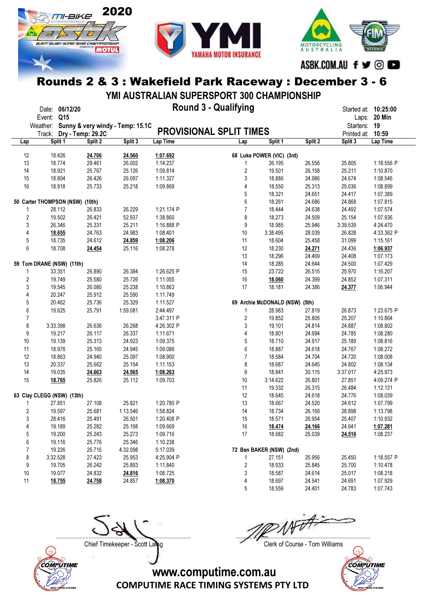





ASBK.COM.AU f ♥ © ■

## Rounds 2 & 3 : Wakefield Park Raceway : December 3 - 6

YMI AUSTRALIAN SUPERSPORT 300 CHAMPIONSHIP

|                  | Event: Q15                      | Date: 06/12/20 |                                                                       |          | <b>Round 3 - Qualifying</b> |                         |                                |         | Started at: 10:25:00              | Laps: 20 Min |
|------------------|---------------------------------|----------------|-----------------------------------------------------------------------|----------|-----------------------------|-------------------------|--------------------------------|---------|-----------------------------------|--------------|
|                  |                                 |                |                                                                       |          |                             |                         |                                |         |                                   |              |
|                  |                                 |                | Weather: Sunny & very windy - Temp: 15.1C<br>Track: Dry - Temp: 29.2C |          | PROVISIONAL SPLIT TIMES     |                         |                                |         | Starters: 19<br>Printed at: 10:59 |              |
| Lap              |                                 | Split 1        | Split 2                                                               | Split 3  | Lap Time                    | Lap                     | Split 1                        | Split 2 | Split 3                           | Lap Time     |
|                  |                                 |                |                                                                       |          |                             |                         |                                |         |                                   |              |
| 12               |                                 | 18.426         | 24.706                                                                | 24.560   | 1:07.692                    |                         | 68 Luke POWER (VIC) (3rd)      |         |                                   |              |
| 13               |                                 | 18.774         | 29.461                                                                | 26.002   | 1:14.237                    | 1                       | 26.195                         | 26.556  | 25.805                            | 1:18.556 P   |
| 14               |                                 | 18.921         | 25.767                                                                | 25.126   | 1:09.814                    | $\overline{\mathbf{c}}$ | 19.501                         | 26.158  | 25.211                            | 1:10.870     |
| 15               |                                 | 18.804         | 26.426                                                                | 26.097   | 1:11.327                    | 3                       | 18.886                         | 24.986  | 24.674                            | 1:08.546     |
| $16\,$           |                                 | 18.918         | 25.733                                                                | 25.218   | 1:09.869                    | 4                       | 18.550                         | 25.313  | 25.036                            | 1:08.899     |
|                  |                                 |                |                                                                       |          |                             | 5                       | 18.321                         | 24.651  | 24.417                            | 1:07.389     |
|                  | 50 Carter THOMPSON (NSW) (10th) |                |                                                                       |          |                             | 6                       | 18.261                         | 24.686  | 24.868                            | 1:07.815     |
| 1                |                                 | 28.112         | 26.833                                                                | 26.229   | 1:21.174 P                  | $\overline{7}$          | 18.444                         | 24.638  | 24.492                            | 1:07.574     |
|                  | $\sqrt{2}$                      | 19.502         | 26.421                                                                | 52.937   | 1:38.860                    | 8                       | 18.273                         | 24.509  | 25.154                            | 1:07.936     |
| 3                |                                 | 26.346         | 25.331                                                                | 25.211   | 1:16.888 P                  | 9                       | 18.985                         | 25.946  | 3:39.539                          | 4:24.470     |
| 4                |                                 | 18.655         | 24.763                                                                | 24.983   | 1:08.401                    | 10                      | 3:38.495                       | 28.039  | 26.828                            | 4:33.362 P   |
| 5                |                                 | 18.735         | 24.612                                                                | 24.859   | 1:08.206                    | 11                      | 18.604                         | 25.458  | 31.099                            | 1:15.161     |
| 6                |                                 | 18.708         | 24.454                                                                | 25.116   | 1:08.278                    | 12                      | 18.230                         | 24.271  | 24.436                            | 1:06.937     |
|                  |                                 |                |                                                                       |          |                             | 13                      | 18.296                         | 24.469  | 24.408                            | 1:07.173     |
|                  | 59 Tom DRANE (NSW) (11th)       |                |                                                                       |          |                             | 14                      | 18.285                         | 24.644  | 24.500                            | 1:07.429     |
| 1                |                                 | 33.351         | 26.890                                                                | 26.384   | 1:26.625 P                  | 15                      | 23.722                         | 26.515  | 25.970                            | 1:16.207     |
|                  | $\overline{c}$                  | 19.749         | 25.580                                                                | 25.726   | 1:11.055                    | 16                      | 18.060                         | 24.399  | 24.852                            | 1:07.311     |
| $\mathfrak{Z}$   |                                 | 19.545         | 26.080                                                                | 25.238   | 1:10.863                    | 17                      | 18.181                         | 24.386  | 24.377                            | 1:06.944     |
| 4                |                                 | 20.247         | 25.912                                                                | 25.590   | 1:11.749                    |                         |                                |         |                                   |              |
| 5                |                                 | 20.462         | 25.736                                                                | 25.329   | 1:11.527                    |                         | 69 Archie McDONALD (NSW) (5th) |         |                                   |              |
| $\boldsymbol{6}$ |                                 | 19.625         | 25.791                                                                | 1:59.081 | 2:44.497                    | 1                       | 28.983                         | 27.819  | 26.873                            | 1:23.675 P   |
| $\overline{7}$   |                                 |                |                                                                       |          | 3:47.311 P                  | $\overline{\mathbf{c}}$ | 19.852                         | 25.805  | 25.207                            | 1:10.864     |
| 8                |                                 | 3:33.398       | 26.636                                                                | 26.268   | 4:26.302 P                  | 3                       | 19.101                         | 24.814  | 24.887                            | 1:08.802     |
| 9                |                                 | 19.217         | 26.117                                                                | 26.337   | 1:11.671                    | 4                       | 18.801                         | 24.694  | 24.785                            | 1:08.280     |
| 10               |                                 | 19.139         | 25.313                                                                | 24.923   | 1:09.375                    | 5                       | 18.710                         | 24.917  | 25.189                            | 1:08.816     |
| 11               |                                 | 18.976         | 25.165                                                                | 24.945   | 1:09.086                    | 6                       | 18.887                         | 24.618  | 24.767                            | 1:08.272     |
| 12               |                                 | 18.863         | 24.940                                                                | 25.097   | 1:08.900                    | $\overline{7}$          | 18.584                         | 24.704  | 24.720                            | 1:08.008     |
| 13               |                                 | 20.337         | 25.662                                                                | 25.154   | 1:11.153                    | 8                       | 18.687                         | 24.645  | 24.802                            | 1:08.134     |
| 14               |                                 | 19.035         | 24.663                                                                | 24.565   | 1:08.263                    | 9                       | 18.841                         | 30.115  | 3:37.017                          | 4:25.973     |
| 15               |                                 | 18.765         | 25.826                                                                | 25.112   | 1:09.703                    | 10                      | 3:14.622                       | 26.801  | 27.851                            | 4:09.274 P   |
|                  |                                 |                |                                                                       |          |                             | 11                      | 19.332                         | 26.315  | 26.484                            | 1:12.131     |
|                  | 63 Clay CLEGG (NSW) (13th)      |                |                                                                       |          |                             | 12                      | 18.645                         | 24.618  | 24.776                            | 1:08.039     |
| 1                |                                 | 27.851         | 27.108                                                                | 25.821   | 1:20.780 P                  | 13                      | 18.667                         | 24.520  | 24.612                            | 1:07.799     |
| $\overline{c}$   |                                 | 19.597         | 25.681                                                                | 1:13.546 | 1:58.824                    | 14                      | 18.734                         | 26.166  | 28.898                            | 1:13.798     |
|                  | 3                               | 28.416         | 25.491                                                                | 26.501   | 1:20.408 P                  | 15                      | 18.571                         | 26.954  | 25.407                            | 1:10.932     |
|                  | 4                               | 19.189         | 25.282                                                                | 25.198   | 1:09.669                    | 16                      | 18.474                         | 24.166  | 24.641                            | 1:07.281     |
|                  | 5                               | 19.200         | 25.243                                                                | 25.273   | 1:09.716                    | 17                      | 18.682                         | 25.039  | 24.516                            | 1:08.237     |
|                  | 6                               | 19.116         | 25.776                                                                | 25.346   | 1:10.238                    |                         |                                |         |                                   |              |
| $\overline{7}$   |                                 | 19.226         | 25.715                                                                | 4:32.098 | 5:17.039                    |                         | 72 Ben BAKER (NSW) (2nd)       |         |                                   |              |
| 8                |                                 | 3:32.528       | 27.423                                                                | 25.953   | 4:25.904 P                  | 1                       | 27.151                         | 25.956  | 25.450                            | 1:18.557 P   |
|                  | 9                               | 19.705         | 26.242                                                                | 25.893   | 1:11.840                    | $\overline{\mathbf{c}}$ | 18.933                         | 25.845  | 25.700                            | 1:10.478     |
| 10               |                                 | 19.077         | 24.832                                                                | 24.816   | 1:08.725                    | 3                       | 18.587                         | 24.614  | 25.017                            | 1:08.218     |
| 11               |                                 | 18.755         | 24.758                                                                | 24.857   | 1:08.370                    | 4                       | 18.697                         | 24.541  | 24.691                            | 1:07.929     |
|                  |                                 |                |                                                                       |          |                             | 5                       | 18.559                         | 24.401  | 24.783                            | 1:07.743     |



Chief Timekeeper - Scott Laing Chief Timekeeper - Scott Laing

....................................................................................... .......................................................................................

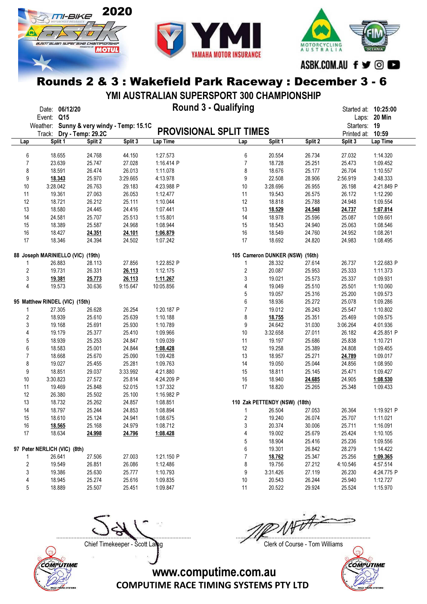





ASBK.COM.AU f ♥ © ■

## Rounds 2 & 3 : Wakefield Park Raceway : December 3 - 6

YMI AUSTRALIAN SUPERSPORT 300 CHAMPIONSHIP

|                         | Date: 06/12/20                            |                   |          | <b>Round 3 - Qualifying</b>    |                |                                 |                  | Started at: 10:25:00 |                      |
|-------------------------|-------------------------------------------|-------------------|----------|--------------------------------|----------------|---------------------------------|------------------|----------------------|----------------------|
|                         | Q15<br>Event:                             |                   |          |                                |                |                                 |                  |                      | Laps: 20 Min         |
|                         | Weather: Sunny & very windy - Temp: 15.1C |                   |          |                                |                |                                 |                  | Starters: 19         |                      |
|                         | Track:                                    | Dry - Temp: 29.2C |          | <b>PROVISIONAL SPLIT TIMES</b> |                |                                 |                  | Printed at: 10:59    |                      |
| Lap                     | Split 1                                   | Split 2           | Split 3  | Lap Time                       | Lap            | Split 1                         | Split 2          | Split 3              | Lap Time             |
|                         |                                           |                   |          |                                |                |                                 |                  |                      |                      |
| 6                       | 18.655                                    | 24.768            | 44.150   | 1:27.573                       | 6              | 20.554                          | 26.734           | 27.032               | 1:14.320             |
| 7                       | 23.639                                    | 25.747            | 27.028   | 1:16.414 P                     | $\overline{7}$ | 18.728                          | 25.251           | 25.473               | 1:09.452             |
| 8                       | 18.591                                    | 26.474            | 26.013   | 1:11.078                       | 8              | 18.676                          | 25.177           | 26.704               | 1:10.557             |
| 9                       | 18.343                                    | 25.970            | 3:29.665 | 4:13.978                       | 9              | 22.508                          | 28.906           | 2:56.919             | 3:48.333             |
| 10                      | 3:28.042                                  | 26.763            | 29.183   | 4:23.988 P                     | 10             | 3:28.696                        | 26.955           | 26.198               | 4:21.849 P           |
| 11                      | 19.361                                    | 27.063            | 26.053   | 1:12.477                       | 11             | 19.543                          | 26.575           | 26.172               | 1:12.290             |
| 12                      | 18.721                                    | 26.212            | 25.111   | 1:10.044                       | 12             | 18.818                          | 25.788           | 24.948               | 1:09.554             |
| 13                      | 18.580                                    | 24.445            | 24.416   | 1:07.441                       | 13             | 18.529                          | 24.548           | 24.737               | 1:07.814             |
| 14                      | 24.581                                    | 25.707            | 25.513   | 1:15.801                       | 14             | 18.978                          | 25.596           | 25.087               | 1:09.661             |
| 15                      | 18.389                                    | 25.587            | 24.968   | 1:08.944                       | 15             | 18.543                          | 24.940           | 25.063               | 1:08.546             |
| 16                      | 18.427                                    | 24.351            | 24.101   | 1:06.879                       | 16             | 18.549                          | 24.760           | 24.952               | 1:08.261             |
| 17                      | 18.346                                    | 24.394            | 24.502   | 1:07.242                       | 17             | 18.692                          | 24.820           | 24.983               | 1:08.495             |
|                         | 88 Joseph MARINIELLO (VIC) (19th)         |                   |          |                                |                | 105 Cameron DUNKER (NSW) (16th) |                  |                      |                      |
| 1                       | 26.883                                    | 28.113            | 27.856   | 1:22.852 P                     | 1              | 28.332                          | 27.614           | 26.737               | 1:22.683 P           |
| 2                       | 19.731                                    | 26.331            | 26.113   | 1:12.175                       | $\overline{2}$ | 20.087                          | 25.953           | 25.333               | 1:11.373             |
| 3                       | 19.381                                    | 25.773            | 26.113   | 1:11.267                       | 3              | 19.021                          | 25.573           | 25.337               | 1:09.931             |
| 4                       | 19.573                                    | 30.636            | 9:15.647 | 10:05.856                      | 4              | 19.049                          | 25.510           | 25.501               | 1:10.060             |
|                         |                                           |                   |          |                                | 5              | 19.057                          | 25.316           | 25.200               | 1:09.573             |
|                         | 95 Matthew RINDEL (VIC) (15th)            |                   |          |                                | 6              | 18.936                          | 25.272           | 25.078               | 1:09.286             |
| 1                       | 27.305                                    | 26.628            | 26.254   | 1:20.187 P                     | $\overline{7}$ | 19.012                          | 26.243           | 25.547               | 1:10.802             |
| $\overline{\mathbf{c}}$ | 18.939                                    | 25.610            | 25.639   | 1:10.188                       | 8              | 18.755                          | 25.351           | 25.469               | 1:09.575             |
| 3                       | 19.168                                    | 25.691            | 25.930   | 1:10.789                       | 9              | 24.642                          | 31.030           | 3:06.264             | 4:01.936             |
| 4                       | 19.179                                    | 25.377            | 25.410   | 1:09.966                       | 10             | 3:32.658                        | 27.011           | 26.182               | 4:25.851 P           |
| 5                       | 18.939                                    | 25.253            | 24.847   | 1:09.039                       | 11             | 19.197                          | 25.686           | 25.838               | 1:10.721             |
| 6                       | 18.583                                    | 25.001            | 24.844   | 1:08.428                       | 12             | 19.258                          | 25.389           | 24.808               | 1:09.455             |
| $\overline{7}$          | 18.668                                    | 25.670            | 25.090   | 1:09.428                       | 13             | 18.957                          | 25.271           | 24.789               | 1:09.017             |
| 8                       | 19.027                                    | 25.455            | 25.281   | 1:09.763                       | 14             | 19.050                          | 25.044           | 24.856               | 1:08.950             |
| 9                       | 18.851                                    | 29.037            | 3:33.992 | 4:21.880                       | 15             | 18.811                          | 25.145           | 25.471               | 1:09.427             |
| 10                      | 3:30.823                                  | 27.572            | 25.814   | 4:24.209 P                     | 16             | 18.940                          | 24.685           | 24.905               | 1:08.530             |
| 11                      | 19.469                                    | 25.848            | 52.015   | 1:37.332                       | 17             | 18.820                          | 25.265           | 25.348               | 1:09.433             |
| 12                      | 26.380                                    | 25.502            | 25.100   | 1:16.982 P                     |                |                                 |                  |                      |                      |
| 13                      | 18.732                                    | 25.262            | 24.857   | 1:08.851                       |                | 110 Zak PETTENDY (NSW) (18th)   |                  |                      |                      |
| 14                      | 18.797                                    | 25.244            | 24.853   | 1:08.894                       | 1              | 26.504                          | 27.053           | 26.364               | 1:19.921 P           |
| 15                      | 18.610                                    | 25.124            | 24.941   | 1:08.675                       | $\overline{2}$ | 19.240                          | 26.074           | 25.707               | 1:11.021             |
| 16                      |                                           | 25.168            | 24.979   | 1:08.712                       | 3              | 20.374                          | 30.006           | 25.711               | 1:16.091             |
| 17                      | 18.565<br>18.634                          | 24.998            | 24.796   | 1:08.428                       | 4              | 19.002                          | 25.679           | 25.424               | 1:10.105             |
|                         |                                           |                   |          |                                | 5              | 18.904                          | 25.416           | 25.236               | 1:09.556             |
|                         |                                           |                   |          |                                |                |                                 |                  |                      |                      |
|                         | 97 Peter NERLICH (VIC) (8th)<br>26.641    | 27.506            | 27.003   | 1:21.150 P                     | 6<br>7         | 19.301                          | 26.842<br>25.347 | 28.279<br>25.256     | 1:14.422             |
| 1<br>2                  | 19.549                                    | 26.851            | 26.086   | 1:12.486                       | 8              | 18.762<br>19.756                | 27.212           | 4:10.546             | 1:09.365<br>4:57.514 |
|                         |                                           |                   | 25.777   |                                |                |                                 | 27.119           | 26.230               |                      |
| 3                       | 19.386                                    | 25.630<br>25.274  | 25.616   | 1:10.793                       | 9<br>10        | 3:31.426<br>20.543              | 26.244           | 25.940               | 4:24.775 P           |
| 4<br>5                  | 18.945<br>18.889                          | 25.507            |          | 1:09.835<br>1:09.847           | 11             | 20.522                          |                  |                      | 1:12.727             |
|                         |                                           |                   | 25.451   |                                |                |                                 | 29.924           | 25.524               | 1:15.970             |



....................................................................................... .......................................................................................

Chief Timekeeper - Scott Laing Chief Timekeeper - Scott Laing

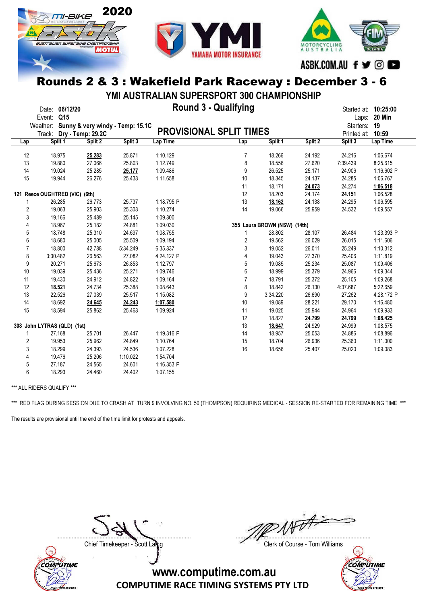





ASBK.COM.AU f y © O

#### Rounds 2 & 3 : Wakefield Park Raceway : December 3 - 6

YMI AUSTRALIAN SUPERSPORT 300 CHAMPIONSHIP

|                | Event:                         | Date: 06/12/20<br>Q15 |                   |                                  |            | <b>Round 3 - Qualifying</b>    |                              |         | Started at: <b>10:25:00</b> | Laps: 20 Min |
|----------------|--------------------------------|-----------------------|-------------------|----------------------------------|------------|--------------------------------|------------------------------|---------|-----------------------------|--------------|
|                | Weather:                       |                       |                   | Sunny & very windy - Temp: 15.1C |            |                                |                              |         | Starters: 19                |              |
|                | Track:                         |                       | Dry - Temp: 29.2C |                                  |            | <b>PROVISIONAL SPLIT TIMES</b> |                              |         | Printed at: 10:59           |              |
| Lap            |                                | Split 1               | Split 2           | Split 3                          | Lap Time   | Lap                            | Split 1                      | Split 2 | Split 3                     | Lap Time     |
|                |                                |                       |                   |                                  |            |                                |                              |         |                             |              |
| 12             |                                | 18.975                | 25.283            | 25.871                           | 1:10.129   | $\overline{7}$                 | 18.266                       | 24.192  | 24.216                      | 1:06.674     |
| 13             |                                | 19.880                | 27.066            | 25.803                           | 1:12.749   | 8                              | 18.556                       | 27.620  | 7:39.439                    | 8:25.615     |
| 14             |                                | 19.024                | 25.285            | 25.177                           | 1:09.486   | 9                              | 26.525                       | 25.171  | 24.906                      | 1:16.602 P   |
| 15             |                                | 19.944                | 26.276            | 25.438                           | 1:11.658   | 10                             | 18.345                       | 24.137  | 24.285                      | 1:06.767     |
|                |                                |                       |                   |                                  |            | 11                             | 18.171                       | 24.073  | 24.274                      | 1:06.518     |
|                | 121 Reece OUGHTRED (VIC) (6th) |                       |                   |                                  |            | 12                             | 18.203                       | 24.174  | 24.151                      | 1:06.528     |
|                |                                | 26.285                | 26.773            | 25.737                           | 1:18.795 P | 13                             | 18.162                       | 24.138  | 24.295                      | 1:06.595     |
| $\overline{2}$ |                                | 19.063                | 25.903            | 25.308                           | 1:10.274   | 14                             | 19.066                       | 25.959  | 24.532                      | 1:09.557     |
| 3              |                                | 19.166                | 25.489            | 25.145                           | 1:09.800   |                                |                              |         |                             |              |
| 4              |                                | 18.967                | 25.182            | 24.881                           | 1:09.030   |                                | 355 Laura BROWN (NSW) (14th) |         |                             |              |
| 5              |                                | 18.748                | 25.310            | 24.697                           | 1:08.755   | 1                              | 28.802                       | 28.107  | 26.484                      | 1:23.393 P   |
| 6              |                                | 18.680                | 25.005            | 25.509                           | 1:09.194   | 2                              | 19.562                       | 26.029  | 26.015                      | 1:11.606     |
| $\overline{7}$ |                                | 18.800                | 42.788            | 5:34.249                         | 6:35.837   | 3                              | 19.052                       | 26.011  | 25.249                      | 1:10.312     |
| 8              |                                | 3:30.482              | 26.563            | 27.082                           | 4:24.127 P | 4                              | 19.043                       | 27.370  | 25.406                      | 1:11.819     |
| 9              |                                | 20.271                | 25.673            | 26.853                           | 1:12.797   | 5                              | 19.085                       | 25.234  | 25.087                      | 1:09.406     |
| 10             |                                | 19.039                | 25.436            | 25.271                           | 1:09.746   | 6                              | 18.999                       | 25.379  | 24.966                      | 1:09.344     |
| 11             |                                | 19.430                | 24.912            | 24.822                           | 1:09.164   | $\overline{7}$                 | 18.791                       | 25.372  | 25.105                      | 1:09.268     |
| 12             |                                | 18.521                | 24.734            | 25.388                           | 1:08.643   | 8                              | 18.842                       | 26.130  | 4:37.687                    | 5:22.659     |
| 13             |                                | 22.526                | 27.039            | 25.517                           | 1:15.082   | 9                              | 3:34.220                     | 26.690  | 27.262                      | 4:28.172 P   |
| 14             |                                | 18.692                | 24.645            | 24.243                           | 1:07.580   | 10                             | 19.089                       | 28.221  | 29.170                      | 1:16.480     |
| 15             |                                | 18.594                | 25.862            | 25.468                           | 1:09.924   | 11                             | 19.025                       | 25.944  | 24.964                      | 1:09.933     |
|                |                                |                       |                   |                                  |            | 12                             | 18.827                       | 24.799  | 24.799                      | 1:08.425     |
|                | 308 John LYTRAS (QLD) (1st)    |                       |                   |                                  |            | 13                             | 18.647                       | 24.929  | 24.999                      | 1:08.575     |
| 1              |                                | 27.168                | 25.701            | 26.447                           | 1:19.316 P | 14                             | 18.957                       | 25.053  | 24.886                      | 1:08.896     |
| $\overline{2}$ |                                | 19.953                | 25.962            | 24.849                           | 1:10.764   | 15                             | 18.704                       | 26.936  | 25.360                      | 1:11.000     |
| 3              |                                | 18.299                | 24.393            | 24.536                           | 1:07.228   | 16                             | 18.656                       | 25.407  | 25.020                      | 1:09.083     |
|                |                                |                       |                   |                                  |            |                                |                              |         |                             |              |
| 4              |                                | 19.476                | 25.206            | 1:10.022                         | 1:54.704   |                                |                              |         |                             |              |
| 5              |                                | 27.187                | 24.565            | 24.601                           | 1:16.353 P |                                |                              |         |                             |              |
| 6              |                                | 18.293                | 24.460            | 24.402                           | 1:07.155   |                                |                              |         |                             |              |

\*\*\* ALL RIDERS QUALIFY \*\*\*

\*\*\* RED FLAG DURING SESSION DUE TO CRASH AT TURN 9 INVOLVING NO. 50 (THOMPSON) REQUIRING MEDICAL - SESSION RE-STARTED FOR REMAINING TIME \*\*\*

The results are provisional until the end of the time limit for protests and appeals.



....................................................................................... .......................................................................................

Chief Timekeeper - Scott Laing Chief Timekeeper - Scott Laing

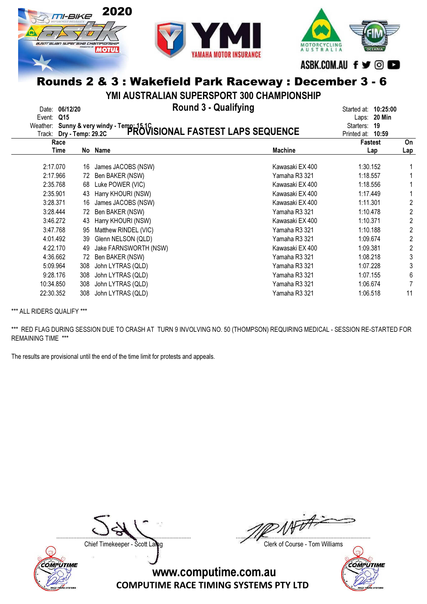

YMI AUSTRALIAN SUPERSPORT 300 CHAMPIONSHIP

|            | Date: 06/12/20 |
|------------|----------------|
| Event: 015 |                |

Date: 06/12/20 Round 3 - Qualifying Started at: 10:25:00

| Event:    | Q15<br>Track: Dry - Temp: 29.2C |     | Weather: Sunny & very windy - Temp: 15.1C<br>Track: Dry - Temp: 29.2C PROVISIONAL FASTEST LAPS SEQUENCE |                 | Laps: 20 Min<br>Starters:<br>19<br>Printed at:<br>10:59 |           |
|-----------|---------------------------------|-----|---------------------------------------------------------------------------------------------------------|-----------------|---------------------------------------------------------|-----------|
|           | Race<br>Time                    | No  | Name                                                                                                    | <b>Machine</b>  | <b>Fastest</b><br>Lap                                   | On<br>Lap |
|           | 2:17.070                        | 16  | James JACOBS (NSW)                                                                                      | Kawasaki EX 400 | 1:30.152                                                |           |
|           | 2:17.966                        | 72  | Ben BAKER (NSW)                                                                                         | Yamaha R3 321   | 1:18.557                                                |           |
|           | 2:35.768                        | 68  | Luke POWER (VIC)                                                                                        | Kawasaki EX 400 | 1:18.556                                                |           |
|           | 2:35.901                        | 43  | Harry KHOURI (NSW)                                                                                      | Kawasaki EX 400 | 1:17.449                                                |           |
|           | 3:28.371                        | 16  | James JACOBS (NSW)                                                                                      | Kawasaki EX 400 | 1:11.301                                                | 2         |
|           | 3:28.444                        | 72  | Ben BAKER (NSW)                                                                                         | Yamaha R3 321   | 1:10.478                                                | 2         |
|           | 3:46.272                        | 43  | Harry KHOURI (NSW)                                                                                      | Kawasaki EX 400 | 1:10.371                                                | 2         |
|           | 3:47.768                        | 95  | Matthew RINDEL (VIC)                                                                                    | Yamaha R3 321   | 1:10.188                                                | 2         |
|           | 4:01.492                        | 39  | Glenn NELSON (QLD)                                                                                      | Yamaha R3 321   | 1:09.674                                                | 2         |
|           | 4:22.170                        | 49  | Jake FARNSWORTH (NSW)                                                                                   | Kawasaki EX 400 | 1:09.381                                                | 2         |
|           | 4:36.662                        | 72  | Ben BAKER (NSW)                                                                                         | Yamaha R3 321   | 1:08.218                                                | 3         |
|           | 5:09.964                        | 308 | John LYTRAS (QLD)                                                                                       | Yamaha R3 321   | 1:07.228                                                | 3         |
|           | 9:28.176                        | 308 | John LYTRAS (QLD)                                                                                       | Yamaha R3 321   | 1:07.155                                                | 6         |
| 10:34.850 |                                 | 308 | John LYTRAS (QLD)                                                                                       | Yamaha R3 321   | 1:06.674                                                |           |
| 22:30.352 |                                 | 308 | John LYTRAS (QLD)                                                                                       | Yamaha R3 321   | 1:06.518                                                | 11        |

\*\*\* ALL RIDERS QUALIFY \*\*\*

\*\*\* RED FLAG DURING SESSION DUE TO CRASH AT TURN 9 INVOLVING NO. 50 (THOMPSON) REQUIRING MEDICAL - SESSION RE-STARTED FOR REMAINING TIME \*\*\*

The results are provisional until the end of the time limit for protests and appeals.



....................................................................................... .......................................................................................

Chief Timekeeper - Scott Laing Chief Timekeeper - Scott Laing

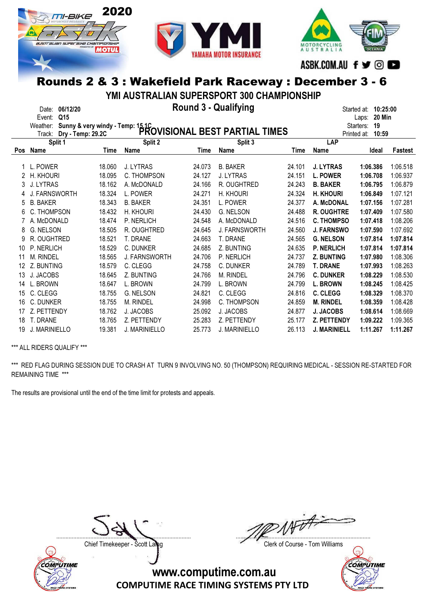





#### YMI AUSTRALIAN SUPERSPORT 300 CHAMPIONSHIP

|     | 06/12/20<br>Date:<br>Q15<br>Event:<br>Sunny & very windy - Temp: 15.1C<br>PROVISIONAL BEST PARTIAL TIMES<br>Weather:<br>Track: |        | 10:25:00<br>Started at:<br>20 Min<br>Laps:<br>19<br>Starters:<br>Printed at:<br>10:59 |        |                      |        |                     |          |          |
|-----|--------------------------------------------------------------------------------------------------------------------------------|--------|---------------------------------------------------------------------------------------|--------|----------------------|--------|---------------------|----------|----------|
|     | Split 1                                                                                                                        |        | Split 2                                                                               |        | Split 3              |        | LAP                 |          |          |
| Pos | Name                                                                                                                           | Time   | Name                                                                                  | Time   | Name                 | Time   | Name                | Ideal    | Fastest  |
|     | L. POWER                                                                                                                       | 18.060 | J. LYTRAS                                                                             | 24.073 | <b>B. BAKER</b>      | 24.101 | <b>J. LYTRAS</b>    | 1:06.386 | 1:06.518 |
|     | H. KHOURI                                                                                                                      | 18.095 | C. THOMPSON                                                                           | 24.127 | J. LYTRAS            | 24.151 | <b>L. POWER</b>     | 1:06.708 | 1:06.937 |
| 3   | J. LYTRAS                                                                                                                      | 18.162 | A. McDONALD                                                                           | 24.166 | R. OUGHTRED          | 24.243 | <b>B. BAKER</b>     | 1:06.795 | 1:06.879 |
| 4   | <b>J. FARNSWORTH</b>                                                                                                           | 18.324 | L. POWER                                                                              | 24.271 | H. KHOURI            | 24.324 | <b>H. KHOURI</b>    | 1:06.849 | 1:07.121 |
| 5   | <b>B. BAKER</b>                                                                                                                | 18.343 | <b>B. BAKER</b>                                                                       | 24.351 | L. POWER             | 24.377 | A. McDONAL          | 1:07.156 | 1:07.281 |
| 6   | THOMPSON                                                                                                                       | 18.432 | H. KHOURI                                                                             | 24.430 | <b>G. NELSON</b>     | 24.488 | <b>R. OUGHTRE</b>   | 1:07.409 | 1:07.580 |
|     | A. McDONALD                                                                                                                    | 18.474 | P. NERLICH                                                                            | 24.548 | A. McDONALD          | 24.516 | <b>C. THOMPSO</b>   | 1:07.418 | 1:08.206 |
| 8   | G. NELSON                                                                                                                      | 18.505 | R. OUGHTRED                                                                           | 24.645 | <b>J. FARNSWORTH</b> | 24.560 | <b>J. FARNSWO</b>   | 1:07.590 | 1:07.692 |
| 9   | R. OUGHTRED                                                                                                                    | 18.521 | T. DRANE                                                                              | 24.663 | T. DRANE             | 24.565 | <b>G. NELSON</b>    | 1:07.814 | 1:07.814 |
| 10  | P. NERLICH                                                                                                                     | 18.529 | C. DUNKER                                                                             | 24.685 | Z. BUNTING           | 24.635 | <b>P. NERLICH</b>   | 1:07.814 | 1:07.814 |
| 11  | M. RINDEL                                                                                                                      | 18.565 | <b>J. FARNSWORTH</b>                                                                  | 24.706 | P. NERLICH           | 24.737 | <b>Z. BUNTING</b>   | 1:07.980 | 1:08.306 |
| 12  | Z. BUNTING                                                                                                                     | 18.579 | C. CLEGG                                                                              | 24.758 | C. DUNKER            | 24.789 | <b>T. DRANE</b>     | 1:07.993 | 1:08.263 |
| 13  | J. JACOBS                                                                                                                      | 18.645 | Z. BUNTING                                                                            | 24.766 | <b>M. RINDEL</b>     | 24.796 | <b>C. DUNKER</b>    | 1:08.229 | 1:08.530 |
| 14  | L. BROWN                                                                                                                       | 18.647 | L. BROWN                                                                              | 24.799 | L. BROWN             | 24.799 | <b>L. BROWN</b>     | 1:08.245 | 1:08.425 |
| 15  | C. CLEGG                                                                                                                       | 18.755 | <b>G. NELSON</b>                                                                      | 24.821 | C. CLEGG             | 24.816 | <b>C. CLEGG</b>     | 1:08.329 | 1:08.370 |
| 16  | C. DUNKER                                                                                                                      | 18.755 | <b>M. RINDEL</b>                                                                      | 24.998 | C. THOMPSON          | 24.859 | <b>M. RINDEL</b>    | 1:08.359 | 1:08.428 |
| 17  | Z. PETTENDY                                                                                                                    | 18.762 | J. JACOBS                                                                             | 25.092 | J. JACOBS            | 24.877 | <b>J. JACOBS</b>    | 1:08.614 | 1:08.669 |
| 18  | T. DRANE                                                                                                                       | 18.765 | Z. PETTENDY                                                                           | 25.283 | Z. PETTENDY          | 25.177 | Z. PETTENDY         | 1:09.222 | 1:09.365 |
| 19  | J. MARINIELLO                                                                                                                  | 19.381 | <b>J. MARINIELLO</b>                                                                  | 25.773 | <b>J. MARINIELLO</b> | 26.113 | <b>J. MARINIELL</b> | 1:11.267 | 1:11.267 |

\*\*\* ALL RIDERS QUALIFY \*\*\*

\*\*\* RED FLAG DURING SESSION DUE TO CRASH AT TURN 9 INVOLVING NO. 50 (THOMPSON) REQUIRING MEDICAL - SESSION RE-STARTED FOR REMAINING TIME \*\*\*

The results are provisional until the end of the time limit for protests and appeals.

COMPUTIME

....................................................................................... .......................................................................................

Chief Timekeeper - Scott Laing Chief Timekeeper - Scott Laing

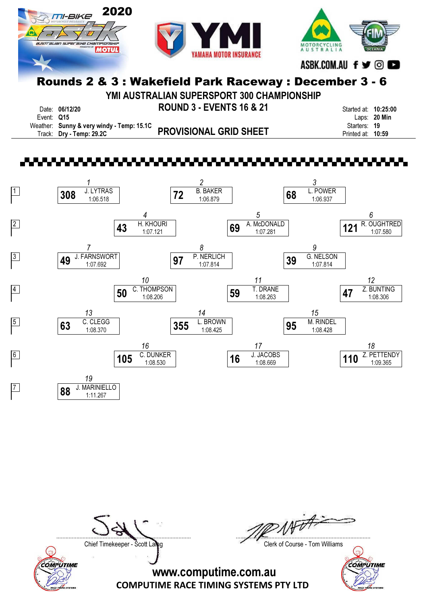

YMI AUSTRALIAN SUPERSPORT 300 CHAMPIONSHIP

|            | Date: 06/12/20                            | <b>ROUND 3 - EVENTS 16 &amp; 21</b> | Started at: 10:25:00 |              |
|------------|-------------------------------------------|-------------------------------------|----------------------|--------------|
| Event: Q15 |                                           |                                     |                      | Laps: 20 Min |
|            | Weather: Sunny & very windy - Temp: 15.1C |                                     | Starters: 19         |              |
|            | Track: Dry - Temp: 29.2C                  | <b>PROVISIONAL GRID SHEET</b>       | Printed at: 10:59    |              |



COMPUTIME

 $W\rightarrow$ ....................................................................................... .......................................................................................

Chief Timekeeper - Scott Laing Chief Timekeeper - Scott Laing

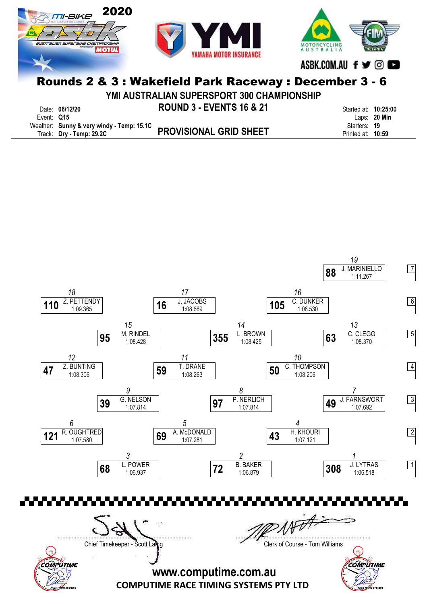

YMI AUSTRALIAN SUPERSPORT 300 CHAMPIONSHIP

|            | Date: 06/12/20                            | <b>ROUND 3 - EVENTS 16 &amp; 21</b> | Started at: 10:25:00 |                |
|------------|-------------------------------------------|-------------------------------------|----------------------|----------------|
| Event: Q15 |                                           |                                     |                      | Laps: $20$ Min |
|            | Weather: Sunny & very windy - Temp: 15.1C |                                     | Starters: 19         |                |
|            | Track: Dry - Temp: 29.2C                  | <b>PROVISIONAL GRID SHEET</b>       | Printed at: 10:59    |                |



COMPUTIME

....................................................................................... .......................................................................................